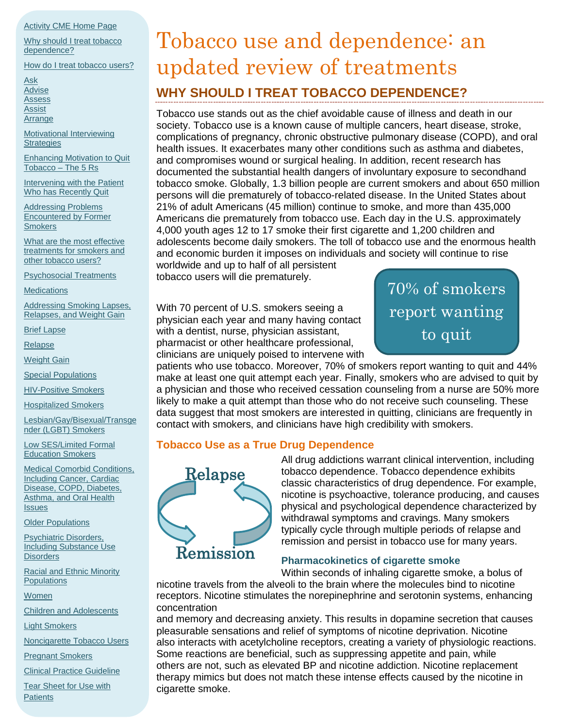#### **[Activity CME Home Page](http://ocpd.wisc.edu/tobaccocme.html)**

Why should I treat tobacco dependence?

[How do I treat tobacco users?](#page-1-0)

[Ask](#page-3-0) [Advise](#page-3-0) **[Assess](#page-4-0)** [Assist](#page-4-0) **[Arrange](#page-10-0)** 

[Motivational Interviewing](#page-6-0)  **Strategies** 

[Enhancing Motivation to Quit](#page-7-0)  Tobacco – The 5 Rs

[Intervening with the Patient](#page-8-0)  Who has Recently Quit

Addressing Problems [Encountered by Former](#page-9-0)  **Smokers** 

[What are the most effective](#page-11-0)  treatments for smokers and other tobacco users?

[Psychosocial Treatments](#page-11-0)

**[Medications](#page-12-0)** 

[Addressing Smoking Lapses,](#page-22-0)  Relapses, and Weight Gain

[Brief Lapse](#page-22-0)

**[Relapse](#page-22-0)** 

[Weight Gain](#page-24-0)

[Special Populations](#page-25-0)

[HIV-Positive Smokers](#page-25-0)

Hospitalized Smokers

[Lesbian/Gay/Bisexual/Transge](#page-26-0) nder (LGBT) Smokers

Low SES/Limited Formal Education Smokers

Medical Comorbid Conditions, **Including Cancer, Cardiac** Disease, COPD, Diabetes, Asthma, and Oral Health **Issues** 

[Older Populations](#page-26-0)

Psychiatric Disorders, [Including Substance Use](#page-27-0)  **Disorders** 

[Racial and Ethnic Minority](#page-27-0)  **Populations** 

**Women** 

[Children and Adolescents](#page-27-0)

[Light Smokers](#page-28-0)

[Noncigarette Tobacco Users](#page-29-0)

[Pregnant Smokers](#page-29-0) 

[Clinical Practice Guideline](http://www.ncbi.nlm.nih.gov/books/NBK63952/)

[Tear Sheet for Use with](http://www.ahrq.gov/clinic/tobacco/tearsheet.pdf)  **Patients** 

# Tobacco use and dependence: an updated review of treatments **WHY SHOULD I TREAT TOBACCO DEPENDENCE?**

Tobacco use stands out as the chief avoidable cause of illness and death in our society. Tobacco use is a known cause of multiple cancers, heart disease, stroke, complications of pregnancy, chronic obstructive pulmonary disease (COPD), and oral health issues. It exacerbates many other conditions such as asthma and diabetes, and compromises wound or surgical healing. In addition, recent research has documented the substantial health dangers of involuntary exposure to secondhand tobacco smoke. Globally, 1.3 billion people are current smokers and about 650 million persons will die prematurely of tobacco-related disease. In the United States about 21% of adult Americans (45 million) continue to smoke, and more than 435,000 Americans die prematurely from tobacco use. Each day in the U.S. approximately 4,000 youth ages 12 to 17 smoke their first cigarette and 1,200 children and adolescents become daily smokers. The toll of tobacco use and the enormous health and economic burden it imposes on individuals and society will continue to rise

worldwide and up to half of all persistent tobacco users will die prematurely.

With 70 percent of U.S. smokers seeing a physician each year and many having contact with a dentist, nurse, physician assistant, pharmacist or other healthcare professional, clinicians are uniquely poised to intervene with



patients who use tobacco. Moreover, 70% of smokers report wanting to quit and 44% make at least one quit attempt each year. Finally, smokers who are advised to quit by a physician and those who received cessation counseling from a nurse are 50% more likely to make a quit attempt than those who do not receive such counseling. These data suggest that most smokers are interested in quitting, clinicians are frequently in contact with smokers, and clinicians have high credibility with smokers.

# **Tobacco Use as a True Drug Dependence**



All drug addictions warrant clinical intervention, including tobacco dependence. Tobacco dependence exhibits classic characteristics of drug dependence. For example, nicotine is psychoactive, tolerance producing, and causes physical and psychological dependence characterized by withdrawal symptoms and cravings. Many smokers typically cycle through multiple periods of relapse and remission and persist in tobacco use for many years.

#### **Pharmacokinetics of cigarette smoke**

Within seconds of inhaling cigarette smoke, a bolus of

nicotine travels from the alveoli to the brain where the molecules bind to nicotine receptors. Nicotine stimulates the norepinephrine and serotonin systems, enhancing concentration

and memory and decreasing anxiety. This results in dopamine secretion that causes pleasurable sensations and relief of symptoms of nicotine deprivation. Nicotine also interacts with acetylcholine receptors, creating a variety of physiologic reactions. Some reactions are beneficial, such as suppressing appetite and pain, while others are not, such as elevated BP and nicotine addiction. Nicotine replacement therapy mimics but does not match these intense effects caused by the nicotine in cigarette smoke.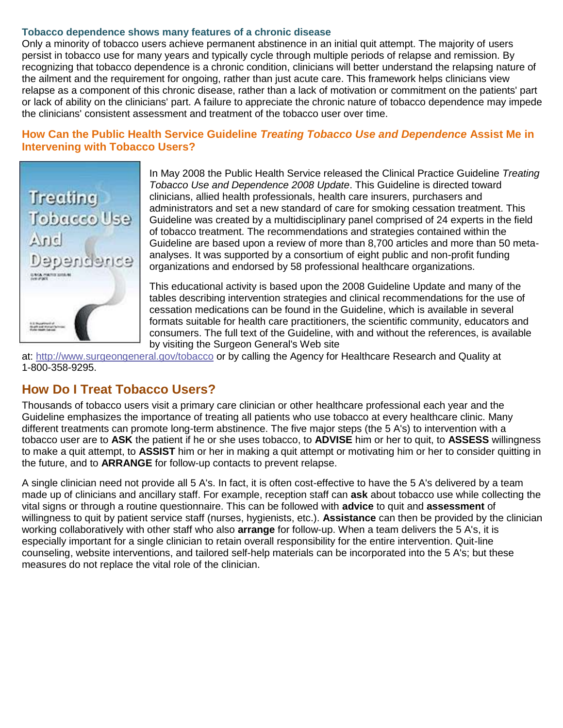### <span id="page-1-0"></span>**Tobacco dependence shows many features of a chronic disease**

Only a minority of tobacco users achieve permanent abstinence in an initial quit attempt. The majority of users persist in tobacco use for many years and typically cycle through multiple periods of relapse and remission. By recognizing that tobacco dependence is a chronic condition, clinicians will better understand the relapsing nature of the ailment and the requirement for ongoing, rather than just acute care. This framework helps clinicians view relapse as a component of this chronic disease, rather than a lack of motivation or commitment on the patients' part or lack of ability on the clinicians' part. A failure to appreciate the chronic nature of tobacco dependence may impede the clinicians' consistent assessment and treatment of the tobacco user over time.

# **How Can the Public Health Service Guideline** *Treating Tobacco Use and Dependence* **Assist Me in Intervening with Tobacco Users?**



In May 2008 the Public Health Service released the Clinical Practice Guideline *Treating Tobacco Use and Dependence 2008 Update*. This Guideline is directed toward clinicians, allied health professionals, health care insurers, purchasers and administrators and set a new standard of care for smoking cessation treatment. This Guideline was created by a multidisciplinary panel comprised of 24 experts in the field of tobacco treatment. The recommendations and strategies contained within the Guideline are based upon a review of more than 8,700 articles and more than 50 metaanalyses. It was supported by a consortium of eight public and non-profit funding organizations and endorsed by 58 professional healthcare organizations.

This educational activity is based upon the 2008 Guideline Update and many of the tables describing intervention strategies and clinical recommendations for the use of cessation medications can be found in the Guideline, which is available in several formats suitable for health care practitioners, the scientific community, educators and consumers. The full text of the Guideline, with and without the references, is available by visiting the Surgeon General's Web site

at:<http://www.surgeongeneral.gov/tobacco>or by calling the Agency for Healthcare Research and Quality at 1-800-358-9295.

# **How Do I Treat Tobacco Users?**

Thousands of tobacco users visit a primary care clinician or other healthcare professional each year and the Guideline emphasizes the importance of treating all patients who use tobacco at every healthcare clinic. Many different treatments can promote long-term abstinence. The five major steps (the 5 A's) to intervention with a tobacco user are to **ASK** the patient if he or she uses tobacco, to **ADVISE** him or her to quit, to **ASSESS** willingness to make a quit attempt, to **ASSIST** him or her in making a quit attempt or motivating him or her to consider quitting in the future, and to **ARRANGE** for follow-up contacts to prevent relapse.

A single clinician need not provide all 5 A's. In fact, it is often cost-effective to have the 5 A's delivered by a team made up of clinicians and ancillary staff. For example, reception staff can **ask** about tobacco use while collecting the vital signs or through a routine questionnaire. This can be followed with **advice** to quit and **assessment** of willingness to quit by patient service staff (nurses, hygienists, etc.). **Assistance** can then be provided by the clinician working collaboratively with other staff who also **arrange** for follow-up. When a team delivers the 5 A's, it is especially important for a single clinician to retain overall responsibility for the entire intervention. Quit-line counseling, website interventions, and tailored self-help materials can be incorporated into the 5 A's; but these measures do not replace the vital role of the clinician.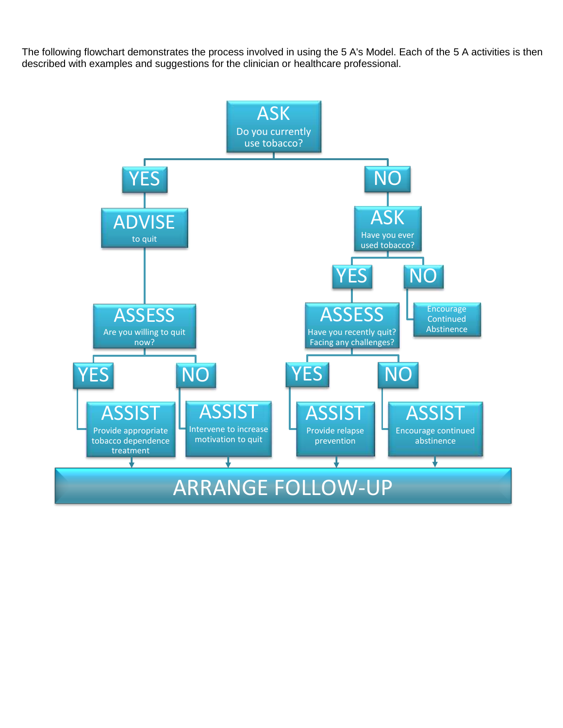The following flowchart demonstrates the process involved in using the 5 A's Model. Each of the 5 A activities is then described with examples and suggestions for the clinician or healthcare professional.

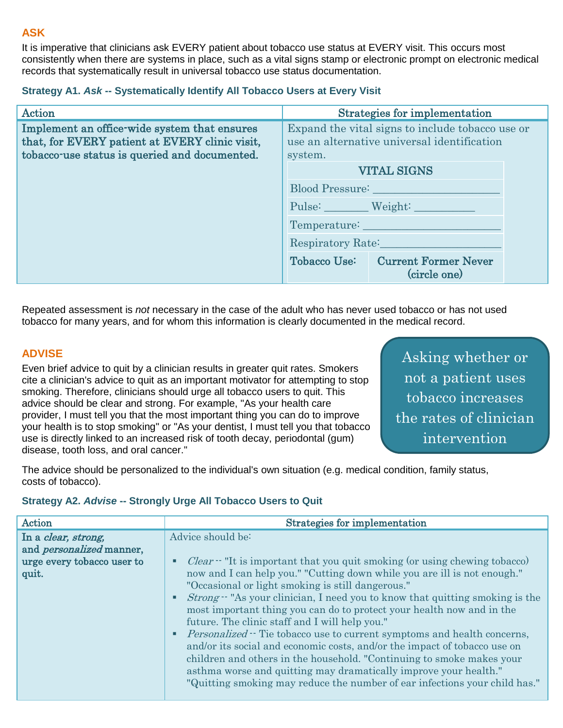# <span id="page-3-0"></span>**ASK**

It is imperative that clinicians ask EVERY patient about tobacco use status at EVERY visit. This occurs most consistently when there are systems in place, such as a vital signs stamp or electronic prompt on electronic medical records that systematically result in universal tobacco use status documentation.

| Strategy A1. Ask -- Systematically Identify All Tobacco Users at Every Visit |  |  |  |
|------------------------------------------------------------------------------|--|--|--|
|------------------------------------------------------------------------------|--|--|--|

| Action                                                                                                                                          | Strategies for implementation                                                                              |                                                   |  |
|-------------------------------------------------------------------------------------------------------------------------------------------------|------------------------------------------------------------------------------------------------------------|---------------------------------------------------|--|
| Implement an office-wide system that ensures<br>that, for EVERY patient at EVERY clinic visit,<br>tobacco-use status is queried and documented. | Expand the vital signs to include tobacco use or<br>use an alternative universal identification<br>system. |                                                   |  |
|                                                                                                                                                 | <b>VITAL SIGNS</b>                                                                                         |                                                   |  |
|                                                                                                                                                 | Blood Pressure: New York                                                                                   |                                                   |  |
|                                                                                                                                                 | Pulse: Weight:                                                                                             |                                                   |  |
|                                                                                                                                                 | Temperature:                                                                                               |                                                   |  |
|                                                                                                                                                 | Respiratory Rate:                                                                                          |                                                   |  |
|                                                                                                                                                 |                                                                                                            | Tobacco Use: Current Former Never<br>(circle one) |  |

Repeated assessment is *not* necessary in the case of the adult who has never used tobacco or has not used tobacco for many years, and for whom this information is clearly documented in the medical record.

# **ADVISE**

Even brief advice to quit by a clinician results in greater quit rates. Smokers cite a clinician's advice to quit as an important motivator for attempting to stop smoking. Therefore, clinicians should urge all tobacco users to quit. This advice should be clear and strong. For example, "As your health care provider, I must tell you that the most important thing you can do to improve your health is to stop smoking" or "As your dentist, I must tell you that tobacco use is directly linked to an increased risk of tooth decay, periodontal (gum) disease, tooth loss, and oral cancer."

Asking whether or not a patient uses tobacco increases the rates of clinician intervention

The advice should be personalized to the individual's own situation (e.g. medical condition, family status, costs of tobacco).

| Strategy A2. Advise -- Strongly Urge All Tobacco Users to Quit |  |  |  |  |  |
|----------------------------------------------------------------|--|--|--|--|--|
|----------------------------------------------------------------|--|--|--|--|--|

| Action                                                                                                        | Strategies for implementation                                                                                                                                                                                                                                                                                                                                                                                                                                                                                                                                                                                                                                                                                                                                                                                                                                           |
|---------------------------------------------------------------------------------------------------------------|-------------------------------------------------------------------------------------------------------------------------------------------------------------------------------------------------------------------------------------------------------------------------------------------------------------------------------------------------------------------------------------------------------------------------------------------------------------------------------------------------------------------------------------------------------------------------------------------------------------------------------------------------------------------------------------------------------------------------------------------------------------------------------------------------------------------------------------------------------------------------|
| In a <i>clear</i> , <i>strong</i> ,<br>and <i>personalized</i> manner,<br>urge every tobacco user to<br>quit. | Advice should be:<br><i>Clear</i> • "It is important that you quit smoking (or using chewing tobacco)<br>٠<br>now and I can help you." "Cutting down while you are ill is not enough."<br>"Occasional or light smoking is still dangerous."<br>• <i>Strong</i> $\cdot$ "As your clinician, I need you to know that quitting smoking is the<br>most important thing you can do to protect your health now and in the<br>future. The clinic staff and I will help you."<br>• <i>Personalized</i> $\cdot$ Tie tobacco use to current symptoms and health concerns,<br>and/or its social and economic costs, and/or the impact of tobacco use on<br>children and others in the household. "Continuing to smoke makes your<br>asthma worse and quitting may dramatically improve your health."<br>"Quitting smoking may reduce the number of ear infections your child has." |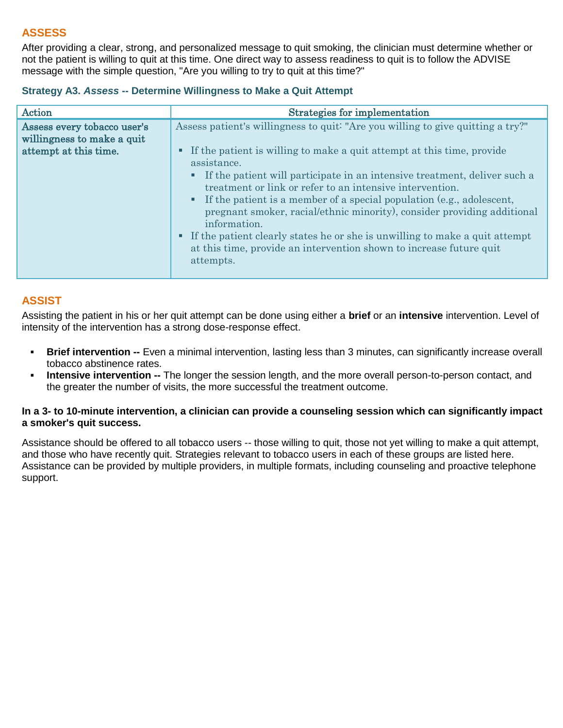# <span id="page-4-0"></span>**ASSESS**

After providing a clear, strong, and personalized message to quit smoking, the clinician must determine whether or not the patient is willing to quit at this time. One direct way to assess readiness to quit is to follow the ADVISE message with the simple question, "Are you willing to try to quit at this time?"

### **Strategy A3.** *Assess* **-- Determine Willingness to Make a Quit Attempt**

| Action                                                                             | Strategies for implementation                                                                                                                                                                                                                                                                                                                                                                                                                                                                                                                                                                                                                                               |  |  |  |
|------------------------------------------------------------------------------------|-----------------------------------------------------------------------------------------------------------------------------------------------------------------------------------------------------------------------------------------------------------------------------------------------------------------------------------------------------------------------------------------------------------------------------------------------------------------------------------------------------------------------------------------------------------------------------------------------------------------------------------------------------------------------------|--|--|--|
| Assess every tobacco user's<br>willingness to make a quit<br>attempt at this time. | Assess patient's willingness to quit. "Are you willing to give quitting a try?"<br>If the patient is willing to make a quit attempt at this time, provide<br>assistance.<br>• If the patient will participate in an intensive treatment, deliver such a<br>treatment or link or refer to an intensive intervention.<br>$\blacksquare$ If the patient is a member of a special population (e.g., adolescent,<br>pregnant smoker, racial/ethnic minority), consider providing additional<br>information.<br>• If the patient clearly states he or she is unwilling to make a quit attempt<br>at this time, provide an intervention shown to increase future quit<br>attempts. |  |  |  |

# **ASSIST**

Assisting the patient in his or her quit attempt can be done using either a **brief** or an **intensive** intervention. Level of intensity of the intervention has a strong dose-response effect.

- **Brief intervention --** Even a minimal intervention, lasting less than 3 minutes, can significantly increase overall tobacco abstinence rates.
- **Intensive intervention --** The longer the session length, and the more overall person-to-person contact, and the greater the number of visits, the more successful the treatment outcome.

#### **In a 3- to 10-minute intervention, a clinician can provide a counseling session which can significantly impact a smoker's quit success.**

Assistance should be offered to all tobacco users -- those willing to quit, those not yet willing to make a quit attempt, and those who have recently quit. Strategies relevant to tobacco users in each of these groups are listed here. Assistance can be provided by multiple providers, in multiple formats, including counseling and proactive telephone support.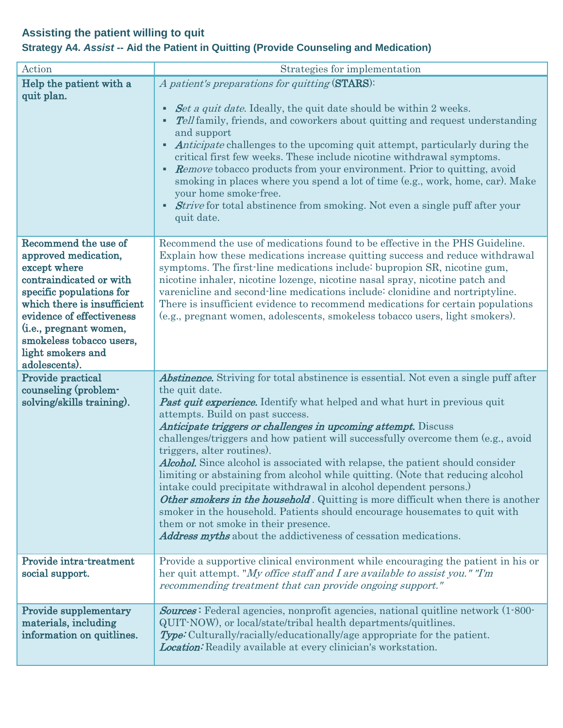# **Assisting the patient willing to quit Strategy A4.** *Assist* **-- Aid the Patient in Quitting (Provide Counseling and Medication)**

| Action                                                                                                                                                                                                                                                                      | Strategies for implementation                                                                                                                                                                                                                                                                                                                                                                                                                                                                                                                                                                                                                                                                                                                                                                                                                                                                                                                                           |
|-----------------------------------------------------------------------------------------------------------------------------------------------------------------------------------------------------------------------------------------------------------------------------|-------------------------------------------------------------------------------------------------------------------------------------------------------------------------------------------------------------------------------------------------------------------------------------------------------------------------------------------------------------------------------------------------------------------------------------------------------------------------------------------------------------------------------------------------------------------------------------------------------------------------------------------------------------------------------------------------------------------------------------------------------------------------------------------------------------------------------------------------------------------------------------------------------------------------------------------------------------------------|
| Help the patient with a<br>quit plan.                                                                                                                                                                                                                                       | A patient's preparations for quitting (STARS):<br>Set a quit date. Ideally, the quit date should be within 2 weeks.<br>п<br>Tell family, friends, and coworkers about quitting and request understanding<br>and support<br>Anticipate challenges to the upcoming quit attempt, particularly during the<br>critical first few weeks. These include nicotine withdrawal symptoms.<br><b>Remove tobacco products from your environment.</b> Prior to quitting, avoid<br>п<br>smoking in places where you spend a lot of time (e.g., work, home, car). Make<br>your home smoke-free.<br><b>Strive for total abstinence from smoking.</b> Not even a single puff after your<br>quit date.                                                                                                                                                                                                                                                                                    |
| Recommend the use of<br>approved medication,<br>except where<br>contraindicated or with<br>specific populations for<br>which there is insufficient<br>evidence of effectiveness<br>(i.e., pregnant women,<br>smokeless tobacco users,<br>light smokers and<br>adolescents). | Recommend the use of medications found to be effective in the PHS Guideline.<br>Explain how these medications increase quitting success and reduce withdrawal<br>symptoms. The first-line medications include: bupropion SR, nicotine gum,<br>nicotine inhaler, nicotine lozenge, nicotine nasal spray, nicotine patch and<br>varenicline and second-line medications include: clonidine and nortriptyline.<br>There is insufficient evidence to recommend medications for certain populations<br>(e.g., pregnant women, adolescents, smokeless tobacco users, light smokers).                                                                                                                                                                                                                                                                                                                                                                                          |
| Provide practical<br>counseling (problem-<br>solving/skills training).                                                                                                                                                                                                      | <b>Abstinence.</b> Striving for total abstinence is essential. Not even a single puff after<br>the quit date.<br><b>Past quit experience.</b> Identify what helped and what hurt in previous quit<br>attempts. Build on past success.<br>Anticipate triggers or challenges in upcoming attempt. Discuss<br>challenges/triggers and how patient will successfully overcome them (e.g., avoid<br>triggers, alter routines).<br><b>Alcohol.</b> Since alcohol is associated with relapse, the patient should consider<br>limiting or abstaining from alcohol while quitting. (Note that reducing alcohol<br>intake could precipitate withdrawal in alcohol dependent persons.)<br><b>Other smokers in the household</b> . Quitting is more difficult when there is another<br>smoker in the household. Patients should encourage housemates to quit with<br>them or not smoke in their presence.<br><b>Address myths</b> about the addictiveness of cessation medications. |
| Provide intra-treatment<br>social support.                                                                                                                                                                                                                                  | Provide a supportive clinical environment while encouraging the patient in his or<br>her quit attempt. "My office staff and I are available to assist you." "I'm<br>recommending treatment that can provide ongoing support."                                                                                                                                                                                                                                                                                                                                                                                                                                                                                                                                                                                                                                                                                                                                           |
| <b>Provide supplementary</b><br>materials, including<br>information on quitlines.                                                                                                                                                                                           | <b>Sources:</b> Federal agencies, nonprofit agencies, national quitline network (1-800-<br>QUIT-NOW), or local/state/tribal health departments/quitlines.<br><b>Type:</b> Culturally/racially/educationally/age appropriate for the patient.<br><i>Location:</i> Readily available at every clinician's workstation.                                                                                                                                                                                                                                                                                                                                                                                                                                                                                                                                                                                                                                                    |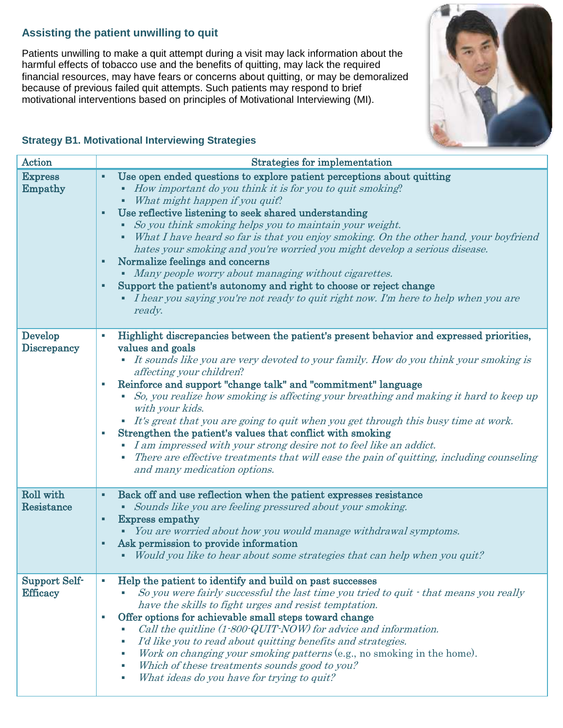# <span id="page-6-0"></span>**Assisting the patient unwilling to quit**

Patients unwilling to make a quit attempt during a visit may lack information about the harmful effects of tobacco use and the benefits of quitting, may lack the required financial resources, may have fears or concerns about quitting, or may be demoralized because of previous failed quit attempts. Such patients may respond to brief motivational interventions based on principles of Motivational Interviewing (MI).



# **Strategy B1. Motivational Interviewing Strategies**

| Action                                  | <b>Strategies for implementation</b>                                                                                                                                                                                                                                                                                                                                                                                                                                                                                                                                                                                                                                                                                                                                                        |
|-----------------------------------------|---------------------------------------------------------------------------------------------------------------------------------------------------------------------------------------------------------------------------------------------------------------------------------------------------------------------------------------------------------------------------------------------------------------------------------------------------------------------------------------------------------------------------------------------------------------------------------------------------------------------------------------------------------------------------------------------------------------------------------------------------------------------------------------------|
| <b>Express</b><br>Empathy               | Use open ended questions to explore patient perceptions about quitting<br>٠<br>• How important do you think it is for you to quit smoking?<br>• What might happen if you quit?<br>Use reflective listening to seek shared understanding<br>٠<br>So you think smoking helps you to maintain your weight.<br>٠.<br>• What I have heard so far is that you enjoy smoking. On the other hand, your boyfriend<br>hates your smoking and you're worried you might develop a serious disease.<br>Normalize feelings and concerns<br>٠<br>• Many people worry about managing without cigarettes.<br>Support the patient's autonomy and right to choose or reject change<br>٠<br>• I hear you saying you're not ready to quit right now. I'm here to help when you are<br>ready.                     |
| <b>Develop</b><br><b>Discrepancy</b>    | Highlight discrepancies between the patient's present behavior and expressed priorities,<br>×<br>values and goals<br>• It sounds like you are very devoted to your family. How do you think your smoking is<br>affecting your children?<br>Reinforce and support "change talk" and "commitment" language<br>×.<br>• So, you realize how smoking is affecting your breathing and making it hard to keep up<br>with your kids.<br>• It's great that you are going to quit when you get through this busy time at work.<br>Strengthen the patient's values that conflict with smoking<br>×<br>• I am impressed with your strong desire not to feel like an addict.<br>There are effective treatments that will ease the pain of quitting, including counseling<br>and many medication options. |
| Roll with<br>Resistance                 | Back off and use reflection when the patient expresses resistance<br>٠<br>• Sounds like you are feeling pressured about your smoking.<br><b>Express empathy</b><br>٠<br>You are worried about how you would manage withdrawal symptoms.<br>٠<br>Ask permission to provide information<br>٠<br>Would you like to hear about some strategies that can help when you quit?<br>٠                                                                                                                                                                                                                                                                                                                                                                                                                |
| <b>Support Self-</b><br><b>Efficacy</b> | Help the patient to identify and build on past successes<br>×<br>So you were fairly successful the last time you tried to quit - that means you really<br>have the skills to fight urges and resist temptation.<br>Offer options for achievable small steps toward change<br>×.<br>Call the quitline (1-800-QUIT-NOW) for advice and information.<br>×.<br>I'd like you to read about quitting benefits and strategies.<br>×.<br>Work on changing your smoking patterns (e.g., no smoking in the home).<br>×.<br>Which of these treatments sounds good to you?<br>×.<br>What ideas do you have for trying to quit?<br>u.                                                                                                                                                                    |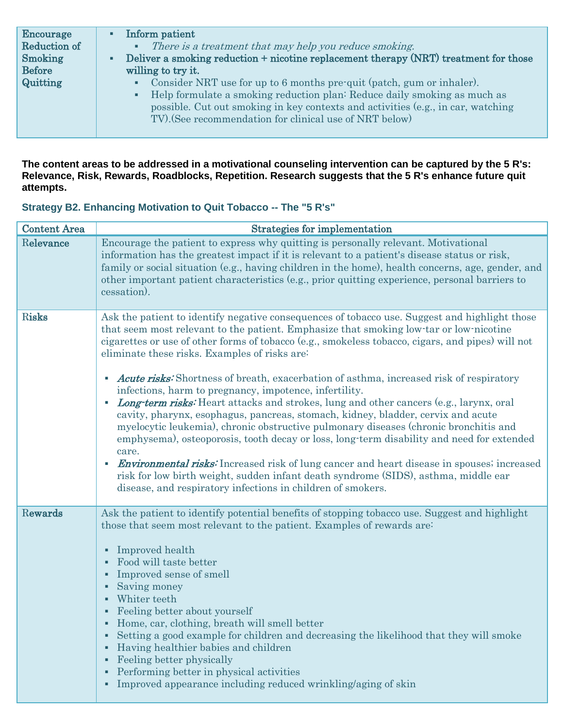<span id="page-7-0"></span>

| Encourage     | Inform patient<br>٠                                                                                                                                                                                                     |
|---------------|-------------------------------------------------------------------------------------------------------------------------------------------------------------------------------------------------------------------------|
| Reduction of  | There is a treatment that may help you reduce smoking.<br>$\mathbf{H}$ .                                                                                                                                                |
| Smoking       | Deliver a smoking reduction + nicotine replacement therapy (NRT) treatment for those<br>٠                                                                                                                               |
| <b>Before</b> | willing to try it.                                                                                                                                                                                                      |
| Quitting      | Consider NRT use for up to 6 months pre-quit (patch, gum or inhaler).<br>$\blacksquare$                                                                                                                                 |
|               | Help formulate a smoking reduction plan: Reduce daily smoking as much as<br>possible. Cut out smoking in key contexts and activities (e.g., in car, watching<br>TV). (See recommendation for clinical use of NRT below) |
|               |                                                                                                                                                                                                                         |

**The content areas to be addressed in a motivational counseling intervention can be captured by the 5 R's: Relevance, Risk, Rewards, Roadblocks, Repetition. Research suggests that the 5 R's enhance future quit attempts.**

# **Strategy B2. Enhancing Motivation to Quit Tobacco -- The "5 R's"** Content Area Strategies for implementation

| Content Area | Strategies for implementation                                                                                                                                                                                                                                                                                                                                                                                                                                                                                                                                                                                                                                                                                                                                                                                                                                                                                                                                                                                                                                                                                                                          |
|--------------|--------------------------------------------------------------------------------------------------------------------------------------------------------------------------------------------------------------------------------------------------------------------------------------------------------------------------------------------------------------------------------------------------------------------------------------------------------------------------------------------------------------------------------------------------------------------------------------------------------------------------------------------------------------------------------------------------------------------------------------------------------------------------------------------------------------------------------------------------------------------------------------------------------------------------------------------------------------------------------------------------------------------------------------------------------------------------------------------------------------------------------------------------------|
| Relevance    | Encourage the patient to express why quitting is personally relevant. Motivational<br>information has the greatest impact if it is relevant to a patient's disease status or risk,<br>family or social situation (e.g., having children in the home), health concerns, age, gender, and<br>other important patient characteristics (e.g., prior quitting experience, personal barriers to<br>cessation).                                                                                                                                                                                                                                                                                                                                                                                                                                                                                                                                                                                                                                                                                                                                               |
| <b>Risks</b> | Ask the patient to identify negative consequences of tobacco use. Suggest and highlight those<br>that seem most relevant to the patient. Emphasize that smoking low-tar or low-nicotine<br>cigarettes or use of other forms of tobacco (e.g., smokeless tobacco, cigars, and pipes) will not<br>eliminate these risks. Examples of risks are:<br><i>Acute risks:</i> Shortness of breath, exacerbation of asthma, increased risk of respiratory<br>infections, harm to pregnancy, impotence, infertility.<br><b>Long-term risks:</b> Heart attacks and strokes, lung and other cancers (e.g., larynx, oral<br>cavity, pharynx, esophagus, pancreas, stomach, kidney, bladder, cervix and acute<br>myelocytic leukemia), chronic obstructive pulmonary diseases (chronic bronchitis and<br>emphysema), osteoporosis, tooth decay or loss, long-term disability and need for extended<br>care.<br><b>Environmental risks:</b> Increased risk of lung cancer and heart disease in spouses; increased<br>risk for low birth weight, sudden infant death syndrome (SIDS), asthma, middle ear<br>disease, and respiratory infections in children of smokers. |
| Rewards      | Ask the patient to identify potential benefits of stopping tobacco use. Suggest and highlight<br>those that seem most relevant to the patient. Examples of rewards are:<br>• Improved health<br>Food will taste better<br>• Improved sense of smell<br>Saving money<br>• Whiter teeth<br>Feeling better about yourself<br>• Home, car, clothing, breath will smell better<br>Setting a good example for children and decreasing the likelihood that they will smoke<br>٠<br>Having healthier babies and children<br>• Feeling better physically<br>• Performing better in physical activities<br>• Improved appearance including reduced wrinkling/aging of skin                                                                                                                                                                                                                                                                                                                                                                                                                                                                                       |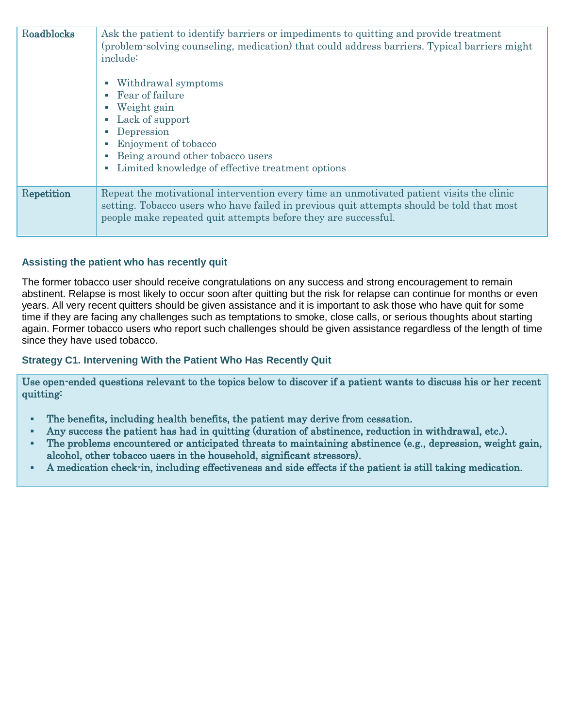<span id="page-8-0"></span>

| Roadblocks | Ask the patient to identify barriers or impediments to quitting and provide treatment<br>(problem-solving counseling, medication) that could address barriers. Typical barriers might<br>include:<br>Withdrawal symptoms<br>Fear of failure<br>п<br>Weight gain<br>×<br>Lack of support<br>Depression<br>Enjoyment of tobacco<br>Being around other tobacco users<br>×.<br>Limited knowledge of effective treatment options<br>п |
|------------|----------------------------------------------------------------------------------------------------------------------------------------------------------------------------------------------------------------------------------------------------------------------------------------------------------------------------------------------------------------------------------------------------------------------------------|
| Repetition | Repeat the motivational intervention every time an unmotivated patient visits the clinic<br>setting. Tobacco users who have failed in previous quit attempts should be told that most<br>people make repeated quit attempts before they are successful.                                                                                                                                                                          |

# **Assisting the patient who has recently quit**

The former tobacco user should receive congratulations on any success and strong encouragement to remain abstinent. Relapse is most likely to occur soon after quitting but the risk for relapse can continue for months or even years. All very recent quitters should be given assistance and it is important to ask those who have quit for some time if they are facing any challenges such as temptations to smoke, close calls, or serious thoughts about starting again. Former tobacco users who report such challenges should be given assistance regardless of the length of time since they have used tobacco.

### **Strategy C1. Intervening With the Patient Who Has Recently Quit**

Use open-ended questions relevant to the topics below to discover if a patient wants to discuss his or her recent quitting:

- The benefits, including health benefits, the patient may derive from cessation.
- Any success the patient has had in quitting (duration of abstinence, reduction in withdrawal, etc.).
- The problems encountered or anticipated threats to maintaining abstinence (e.g., depression, weight gain, alcohol, other tobacco users in the household, significant stressors).
- A medication check-in, including effectiveness and side effects if the patient is still taking medication.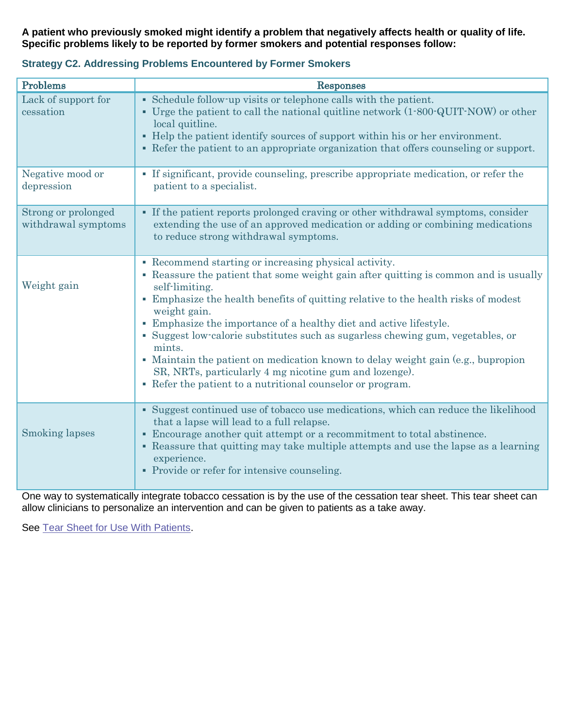<span id="page-9-0"></span>**A patient who previously smoked might identify a problem that negatively affects health or quality of life. Specific problems likely to be reported by former smokers and potential responses follow:**

| Problems                                   | Responses                                                                                                                                                                                                                                                                                                                                                                                                                                                                                                                                                                                                                                            |
|--------------------------------------------|------------------------------------------------------------------------------------------------------------------------------------------------------------------------------------------------------------------------------------------------------------------------------------------------------------------------------------------------------------------------------------------------------------------------------------------------------------------------------------------------------------------------------------------------------------------------------------------------------------------------------------------------------|
| Lack of support for<br>cessation           | • Schedule follow-up visits or telephone calls with the patient.<br>• Urge the patient to call the national quittine network $(1\text{-}800\text{-}QUIT\text{-}NOW)$ or other<br>local quitline.<br>• Help the patient identify sources of support within his or her environment.<br>• Refer the patient to an appropriate organization that offers counseling or support.                                                                                                                                                                                                                                                                           |
| Negative mood or<br>depression             | • If significant, provide counseling, prescribe appropriate medication, or refer the<br>patient to a specialist.                                                                                                                                                                                                                                                                                                                                                                                                                                                                                                                                     |
| Strong or prolonged<br>withdrawal symptoms | • If the patient reports prolonged craving or other withdrawal symptoms, consider<br>extending the use of an approved medication or adding or combining medications<br>to reduce strong withdrawal symptoms.                                                                                                                                                                                                                                                                                                                                                                                                                                         |
| Weight gain                                | • Recommend starting or increasing physical activity.<br>• Reassure the patient that some weight gain after quitting is common and is usually<br>self-limiting.<br>• Emphasize the health benefits of quitting relative to the health risks of modest<br>weight gain.<br>• Emphasize the importance of a healthy diet and active lifestyle.<br>• Suggest low-calorie substitutes such as sugarless chewing gum, vegetables, or<br>mints.<br>• Maintain the patient on medication known to delay weight gain (e.g., bupropion<br>SR, NRTs, particularly 4 mg nicotine gum and lozenge).<br>• Refer the patient to a nutritional counselor or program. |
| <b>Smoking lapses</b>                      | • Suggest continued use of tobacco use medications, which can reduce the likelihood<br>that a lapse will lead to a full relapse.<br>• Encourage another quit attempt or a recommitment to total abstinence.<br>• Reassure that quitting may take multiple attempts and use the lapse as a learning<br>experience.<br>• Provide or refer for intensive counseling.                                                                                                                                                                                                                                                                                    |

|  | <b>Strategy C2. Addressing Problems Encountered by Former Smokers</b> |  |  |
|--|-----------------------------------------------------------------------|--|--|
|  |                                                                       |  |  |

One way to systematically integrate tobacco cessation is by the use of the cessation tear sheet. This tear sheet can allow clinicians to personalize an intervention and can be given to patients as a take away.

See Tear Sheet for Use With Patients.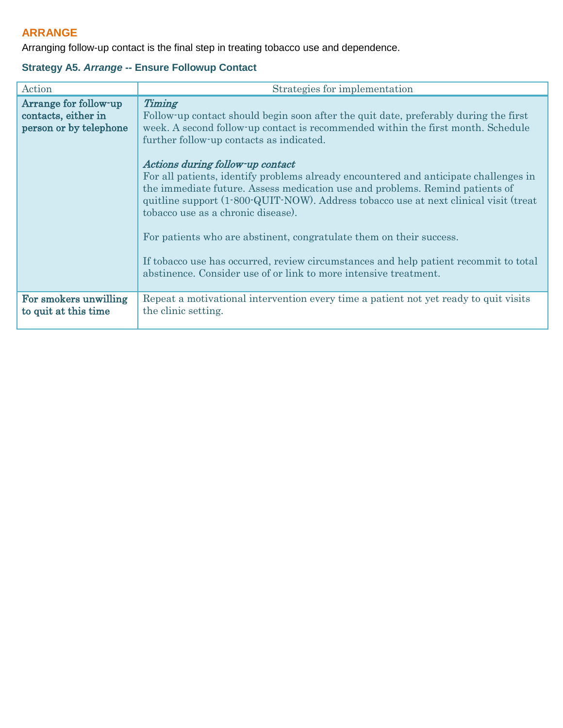# <span id="page-10-0"></span>**ARRANGE**

Arranging follow-up contact is the final step in treating tobacco use and dependence.

**Strategy A5.** *Arrange* **-- Ensure Followup Contact**

| Action                                                                 | Strategies for implementation                                                                                                                                                                                                                                                                                                          |
|------------------------------------------------------------------------|----------------------------------------------------------------------------------------------------------------------------------------------------------------------------------------------------------------------------------------------------------------------------------------------------------------------------------------|
| Arrange for follow-up<br>contacts, either in<br>person or by telephone | Timing<br>Follow up contact should begin soon after the quit date, preferably during the first<br>week. A second follow-up contact is recommended within the first month. Schedule<br>further follow-up contacts as indicated.                                                                                                         |
|                                                                        | Actions during follow-up contact<br>For all patients, identify problems already encountered and anticipate challenges in<br>the immediate future. Assess medication use and problems. Remind patients of<br>quittine support (1.800-QUIT-NOW). Address tobacco use at next clinical visit (treat<br>tobacco use as a chronic disease). |
|                                                                        | For patients who are abstinent, congratulate them on their success.<br>If to bacco use has occurred, review circumstances and help patient recommit to total<br>abstinence. Consider use of or link to more intensive treatment.                                                                                                       |
| For smokers unwilling<br>to quit at this time                          | Repeat a motivational intervention every time a patient not yet ready to quit visits<br>the clinic setting.                                                                                                                                                                                                                            |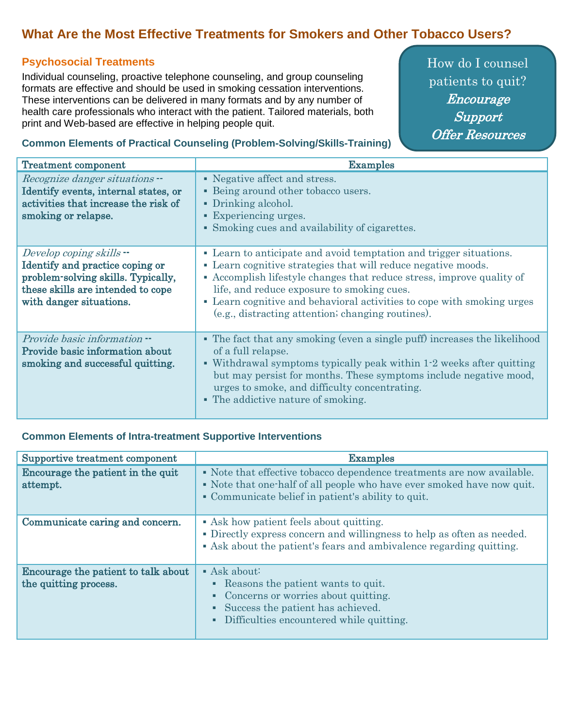# <span id="page-11-0"></span>**What Are the Most Effective Treatments for Smokers and Other Tobacco Users?**

# **Psychosocial Treatments**

Individual counseling, proactive telephone counseling, and group counseling formats are effective and should be used in smoking cessation interventions. These interventions can be delivered in many formats and by any number of health care professionals who interact with the patient. Tailored materials, both print and Web-based are effective in helping people quit.

How do I counsel patients to quit? Encourage Support Offer Resources

### **Common Elements of Practical Counseling (Problem-Solving/Skills-Training)**

| <b>Treatment component</b>                                                                                                                                                  | <b>Examples</b>                                                                                                                                                                                                                                                                                                                                                                           |
|-----------------------------------------------------------------------------------------------------------------------------------------------------------------------------|-------------------------------------------------------------------------------------------------------------------------------------------------------------------------------------------------------------------------------------------------------------------------------------------------------------------------------------------------------------------------------------------|
| <i>Recognize danger situations</i> ••<br>Identify events, internal states, or<br>activities that increase the risk of<br>smoking or relapse.                                | • Negative affect and stress.<br>• Being around other tobacco users.<br>• Drinking alcohol.<br>• Experiencing urges.<br>• Smoking cues and availability of cigarettes.                                                                                                                                                                                                                    |
| Develop coping skills $\cdot\cdot$<br>Identify and practice coping or<br>problem-solving skills. Typically,<br>these skills are intended to cope<br>with danger situations. | • Learn to anticipate and avoid temptation and trigger situations.<br>• Learn cognitive strategies that will reduce negative moods.<br>• Accomplish lifestyle changes that reduce stress, improve quality of<br>life, and reduce exposure to smoking cues.<br>• Learn cognitive and behavioral activities to cope with smoking urges<br>(e.g., distracting attention; changing routines). |
| Provide basic information --<br>Provide basic information about<br>smoking and successful quitting.                                                                         | • The fact that any smoking (even a single puff) increases the likelihood<br>of a full relapse.<br>• Withdrawal symptoms typically peak within 1-2 weeks after quitting<br>but may persist for months. These symptoms include negative mood,<br>urges to smoke, and difficulty concentrating.<br>• The addictive nature of smoking.                                                       |

### **Common Elements of Intra-treatment Supportive Interventions**

| Supportive treatment component                               | <b>Examples</b>                                                                                                                                                                                         |
|--------------------------------------------------------------|---------------------------------------------------------------------------------------------------------------------------------------------------------------------------------------------------------|
| Encourage the patient in the quit<br>attempt.                | • Note that effective to bacco dependence treatments are now available.<br>• Note that one-half of all people who have ever smoked have now quit.<br>• Communicate belief in patient's ability to quit. |
| Communicate caring and concern.                              | • Ask how patient feels about quitting.<br>• Directly express concern and willingness to help as often as needed.<br>• Ask about the patient's fears and ambivalence regarding quitting.                |
| Encourage the patient to talk about<br>the quitting process. | $\blacksquare$ Ask about:<br>Reasons the patient wants to quit.<br>Concerns or worries about quitting.<br>Success the patient has achieved.<br>Difficulties encountered while quitting.<br>٠            |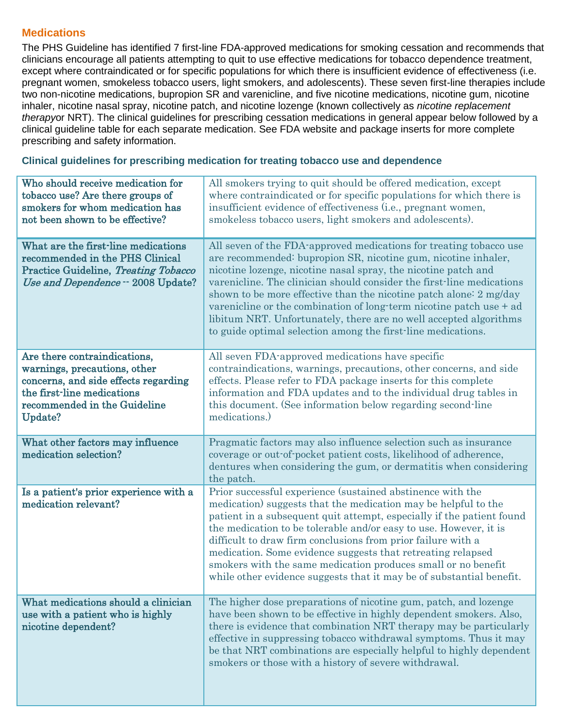# <span id="page-12-0"></span>**Medications**

The PHS Guideline has identified 7 first-line FDA-approved medications for smoking cessation and recommends that clinicians encourage all patients attempting to quit to use effective medications for tobacco dependence treatment, except where contraindicated or for specific populations for which there is insufficient evidence of effectiveness (i.e. pregnant women, smokeless tobacco users, light smokers, and adolescents). These seven first-line therapies include two non-nicotine medications, bupropion SR and varenicline, and five nicotine medications, nicotine gum, nicotine inhaler, nicotine nasal spray, nicotine patch, and nicotine lozenge (known collectively as *nicotine replacement therapy*or NRT). The clinical guidelines for prescribing cessation medications in general appear below followed by a clinical guideline table for each separate medication. See FDA website and package inserts for more complete prescribing and safety information.

#### **Clinical guidelines for prescribing medication for treating tobacco use and dependence**

| Who should receive medication for<br>tobacco use? Are there groups of<br>smokers for whom medication has<br>not been shown to be effective?                                          | All smokers trying to quit should be offered medication, except<br>where contraindicated or for specific populations for which there is<br>insufficient evidence of effectiveness (i.e., pregnant women,<br>smokeless tobacco users, light smokers and adolescents).                                                                                                                                                                                                                                                                                              |
|--------------------------------------------------------------------------------------------------------------------------------------------------------------------------------------|-------------------------------------------------------------------------------------------------------------------------------------------------------------------------------------------------------------------------------------------------------------------------------------------------------------------------------------------------------------------------------------------------------------------------------------------------------------------------------------------------------------------------------------------------------------------|
| What are the first-line medications<br>recommended in the PHS Clinical<br><b>Practice Guideline, Treating Tobacco</b><br>Use and Dependence " 2008 Update?                           | All seven of the FDA-approved medications for treating tobacco use<br>are recommended: bupropion SR, nicotine gum, nicotine inhaler,<br>nicotine lozenge, nicotine nasal spray, the nicotine patch and<br>varenicline. The clinician should consider the first-line medications<br>shown to be more effective than the nicotine patch alone: 2 mg/day<br>varenicline or the combination of long-term nicotine patch use + ad<br>libitum NRT. Unfortunately, there are no well accepted algorithms<br>to guide optimal selection among the first-line medications. |
| Are there contraindications,<br>warnings, precautions, other<br>concerns, and side effects regarding<br>the first-line medications<br>recommended in the Guideline<br><b>Update?</b> | All seven FDA-approved medications have specific<br>contraindications, warnings, precautions, other concerns, and side<br>effects. Please refer to FDA package inserts for this complete<br>information and FDA updates and to the individual drug tables in<br>this document. (See information below regarding second-line<br>medications.)                                                                                                                                                                                                                      |
| What other factors may influence<br>medication selection?                                                                                                                            | Pragmatic factors may also influence selection such as insurance<br>coverage or out of pocket patient costs, likelihood of adherence,<br>dentures when considering the gum, or dermatitis when considering<br>the patch.                                                                                                                                                                                                                                                                                                                                          |
| Is a patient's prior experience with a<br>medication relevant?                                                                                                                       | Prior successful experience (sustained abstinence with the<br>medication) suggests that the medication may be helpful to the<br>patient in a subsequent quit attempt, especially if the patient found<br>the medication to be tolerable and/or easy to use. However, it is<br>difficult to draw firm conclusions from prior failure with a<br>medication. Some evidence suggests that retreating relapsed<br>smokers with the same medication produces small or no benefit<br>while other evidence suggests that it may be of substantial benefit.                |
| What medications should a clinician<br>use with a patient who is highly<br>nicotine dependent?                                                                                       | The higher dose preparations of nicotine gum, patch, and lozenge<br>have been shown to be effective in highly dependent smokers. Also,<br>there is evidence that combination NRT therapy may be particularly<br>effective in suppressing tobacco withdrawal symptoms. Thus it may<br>be that NRT combinations are especially helpful to highly dependent<br>smokers or those with a history of severe withdrawal.                                                                                                                                                 |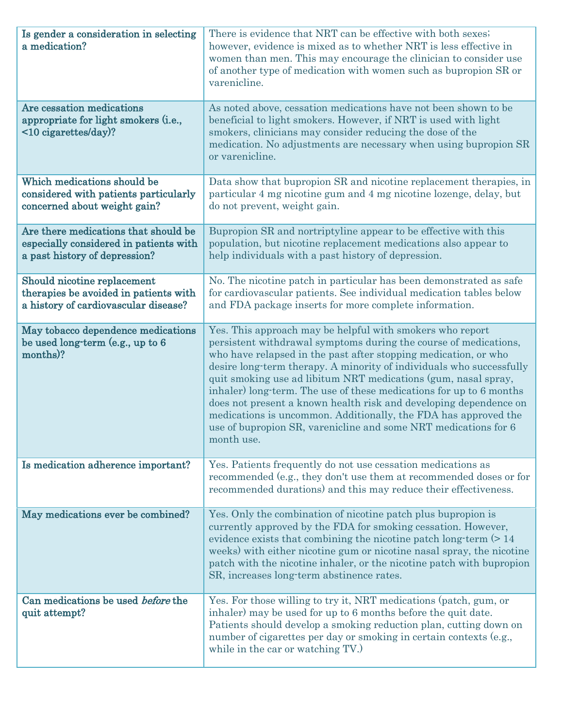| Is gender a consideration in selecting<br>a medication?                                                           | There is evidence that NRT can be effective with both sexes;<br>however, evidence is mixed as to whether NRT is less effective in<br>women than men. This may encourage the clinician to consider use<br>of another type of medication with women such as bupropion SR or<br>varenicline.                                                                                                                                                                                                                                                                                                                                                  |
|-------------------------------------------------------------------------------------------------------------------|--------------------------------------------------------------------------------------------------------------------------------------------------------------------------------------------------------------------------------------------------------------------------------------------------------------------------------------------------------------------------------------------------------------------------------------------------------------------------------------------------------------------------------------------------------------------------------------------------------------------------------------------|
| Are cessation medications<br>appropriate for light smokers (i.e.,<br>$\langle 10 \text{ eigenttes/day} \rangle$ ? | As noted above, cessation medications have not been shown to be<br>beneficial to light smokers. However, if NRT is used with light<br>smokers, clinicians may consider reducing the dose of the<br>medication. No adjustments are necessary when using bupropion SR<br>or varenicline.                                                                                                                                                                                                                                                                                                                                                     |
| Which medications should be<br>considered with patients particularly<br>concerned about weight gain?              | Data show that bupropion SR and nicotine replacement therapies, in<br>particular 4 mg nicotine gum and 4 mg nicotine lozenge, delay, but<br>do not prevent, weight gain.                                                                                                                                                                                                                                                                                                                                                                                                                                                                   |
| Are there medications that should be<br>especially considered in patients with<br>a past history of depression?   | Bupropion SR and nortriptyline appear to be effective with this<br>population, but nicotine replacement medications also appear to<br>help individuals with a past history of depression.                                                                                                                                                                                                                                                                                                                                                                                                                                                  |
| Should nicotine replacement<br>therapies be avoided in patients with<br>a history of cardiovascular disease?      | No. The nicotine patch in particular has been demonstrated as safe<br>for cardiovascular patients. See individual medication tables below<br>and FDA package inserts for more complete information.                                                                                                                                                                                                                                                                                                                                                                                                                                        |
| May tobacco dependence medications<br>be used long-term (e.g., up to 6<br>months)?                                | Yes. This approach may be helpful with smokers who report<br>persistent withdrawal symptoms during the course of medications,<br>who have relapsed in the past after stopping medication, or who<br>desire long-term therapy. A minority of individuals who successfully<br>quit smoking use ad libitum NRT medications (gum, nasal spray,<br>inhaler) long-term. The use of these medications for up to 6 months<br>does not present a known health risk and developing dependence on<br>medications is uncommon. Additionally, the FDA has approved the<br>use of bupropion SR, varenicline and some NRT medications for 6<br>month use. |
| Is medication adherence important?                                                                                | Yes. Patients frequently do not use cessation medications as<br>recommended (e.g., they don't use them at recommended doses or for<br>recommended durations) and this may reduce their effectiveness.                                                                                                                                                                                                                                                                                                                                                                                                                                      |
| May medications ever be combined?                                                                                 | Yes. Only the combination of nicotine patch plus bupropion is<br>currently approved by the FDA for smoking cessation. However,<br>evidence exists that combining the nicotine patch long-term (> 14<br>weeks) with either nicotine gum or nicotine nasal spray, the nicotine<br>patch with the nicotine inhaler, or the nicotine patch with bupropion<br>SR, increases long-term abstinence rates.                                                                                                                                                                                                                                         |
| Can medications be used <i>before</i> the<br>quit attempt?                                                        | Yes. For those willing to try it, NRT medications (patch, gum, or<br>inhaler) may be used for up to 6 months before the quit date.<br>Patients should develop a smoking reduction plan, cutting down on<br>number of cigarettes per day or smoking in certain contexts (e.g.,<br>while in the car or watching TV.                                                                                                                                                                                                                                                                                                                          |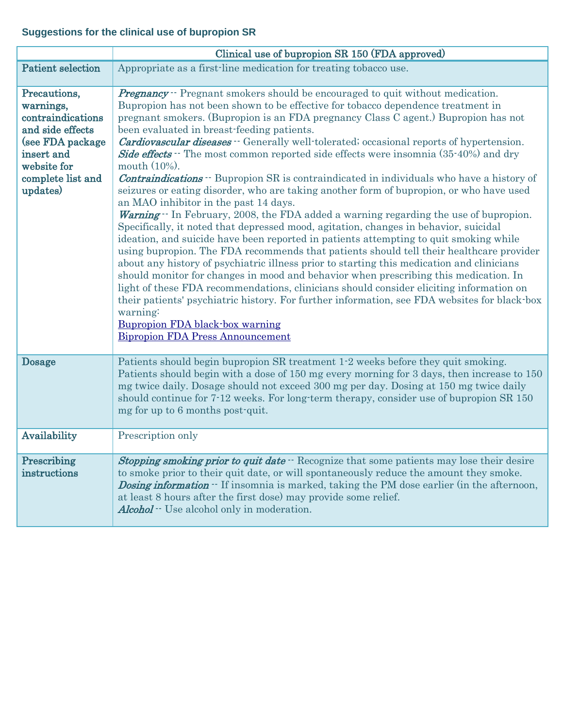# **Suggestions for the clinical use of bupropion SR**

|                                                                                                                                                       | Clinical use of bupropion SR 150 (FDA approved)                                                                                                                                                                                                                                                                                                                                                                                                                                                                                                                                                                                                                                                                                                                                                                                                                                                                                                                                                                                                                                                                                                                                                                                                                                                                                                                                                                                                                                                                                                                                                                        |
|-------------------------------------------------------------------------------------------------------------------------------------------------------|------------------------------------------------------------------------------------------------------------------------------------------------------------------------------------------------------------------------------------------------------------------------------------------------------------------------------------------------------------------------------------------------------------------------------------------------------------------------------------------------------------------------------------------------------------------------------------------------------------------------------------------------------------------------------------------------------------------------------------------------------------------------------------------------------------------------------------------------------------------------------------------------------------------------------------------------------------------------------------------------------------------------------------------------------------------------------------------------------------------------------------------------------------------------------------------------------------------------------------------------------------------------------------------------------------------------------------------------------------------------------------------------------------------------------------------------------------------------------------------------------------------------------------------------------------------------------------------------------------------------|
| <b>Patient selection</b>                                                                                                                              | Appropriate as a first-line medication for treating tobacco use.                                                                                                                                                                                                                                                                                                                                                                                                                                                                                                                                                                                                                                                                                                                                                                                                                                                                                                                                                                                                                                                                                                                                                                                                                                                                                                                                                                                                                                                                                                                                                       |
| Precautions,<br>warnings,<br>contraindications<br>and side effects<br>(see FDA package)<br>insert and<br>website for<br>complete list and<br>updates) | <b>Pregnancy</b> : Pregnant smokers should be encouraged to quit without medication.<br>Bupropion has not been shown to be effective for tobacco dependence treatment in<br>pregnant smokers. (Bupropion is an FDA pregnancy Class C agent.) Bupropion has not<br>been evaluated in breast-feeding patients.<br><b>Cardiovascular diseases</b> • Generally well-tolerated; occasional reports of hypertension.<br><b>Side effects</b> - The most common reported side effects were insomnia (35-40%) and dry<br>mouth $(10\%)$ .<br><b>Contraindications</b> - Bupropion SR is contraindicated in individuals who have a history of<br>seizures or eating disorder, who are taking another form of bupropion, or who have used<br>an MAO inhibitor in the past 14 days.<br>Warning -- In February, 2008, the FDA added a warning regarding the use of bupropion.<br>Specifically, it noted that depressed mood, agitation, changes in behavior, suicidal<br>ideation, and suicide have been reported in patients attempting to quit smoking while<br>using bupropion. The FDA recommends that patients should tell their healthcare provider<br>about any history of psychiatric illness prior to starting this medication and clinicians<br>should monitor for changes in mood and behavior when prescribing this medication. In<br>light of these FDA recommendations, clinicians should consider eliciting information on<br>their patients' psychiatric history. For further information, see FDA websites for black-box<br>warning:<br>Bupropion FDA black box warning<br><b>Bipropion FDA Press Announcement</b> |
| Dosage                                                                                                                                                | Patients should begin bupropion SR treatment 1.2 weeks before they quit smoking.<br>Patients should begin with a dose of 150 mg every morning for 3 days, then increase to 150<br>mg twice daily. Dosage should not exceed 300 mg per day. Dosing at 150 mg twice daily<br>should continue for 7.12 weeks. For long-term therapy, consider use of bupropion SR 150<br>mg for up to 6 months post-quit.                                                                                                                                                                                                                                                                                                                                                                                                                                                                                                                                                                                                                                                                                                                                                                                                                                                                                                                                                                                                                                                                                                                                                                                                                 |
| Availability                                                                                                                                          | Prescription only                                                                                                                                                                                                                                                                                                                                                                                                                                                                                                                                                                                                                                                                                                                                                                                                                                                                                                                                                                                                                                                                                                                                                                                                                                                                                                                                                                                                                                                                                                                                                                                                      |
| Prescribing<br>instructions                                                                                                                           | <b>Stopping smoking prior to quit date</b> $\cdot$ Recognize that some patients may lose their desire<br>to smoke prior to their quit date, or will spontaneously reduce the amount they smoke.<br><b>Dosing information</b> $\cdot$ If insommia is marked, taking the PM dose earlier (in the afternoon,<br>at least 8 hours after the first dose) may provide some relief.<br><b>Alcohol</b> · Use alcohol only in moderation.                                                                                                                                                                                                                                                                                                                                                                                                                                                                                                                                                                                                                                                                                                                                                                                                                                                                                                                                                                                                                                                                                                                                                                                       |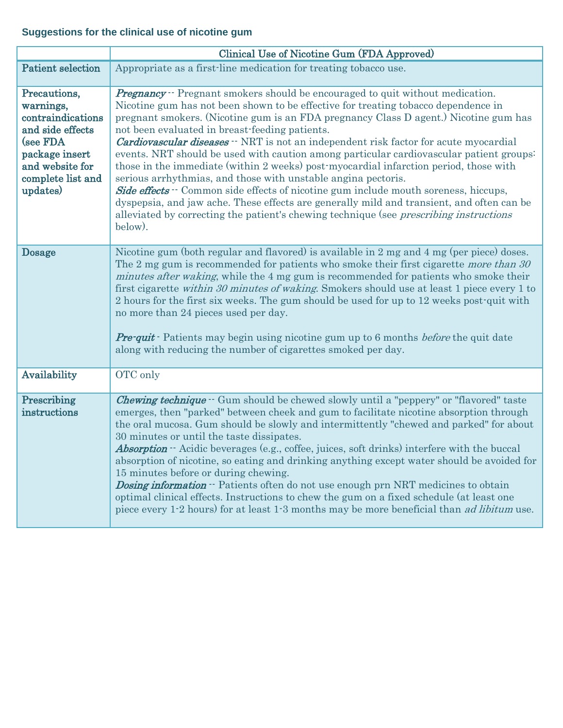# **Suggestions for the clinical use of nicotine gum**

|                                                                                                                                                      | Clinical Use of Nicotine Gum (FDA Approved)                                                                                                                                                                                                                                                                                                                                                                                                                                                                                                                                                                                                                                                                                                                                                                                                                                                                                                                                       |
|------------------------------------------------------------------------------------------------------------------------------------------------------|-----------------------------------------------------------------------------------------------------------------------------------------------------------------------------------------------------------------------------------------------------------------------------------------------------------------------------------------------------------------------------------------------------------------------------------------------------------------------------------------------------------------------------------------------------------------------------------------------------------------------------------------------------------------------------------------------------------------------------------------------------------------------------------------------------------------------------------------------------------------------------------------------------------------------------------------------------------------------------------|
| <b>Patient selection</b>                                                                                                                             | Appropriate as a first-line medication for treating tobacco use.                                                                                                                                                                                                                                                                                                                                                                                                                                                                                                                                                                                                                                                                                                                                                                                                                                                                                                                  |
| Precautions,<br>warnings,<br>contraindications<br>and side effects<br>(see FDA<br>package insert<br>and website for<br>complete list and<br>updates) | <b>Pregnancy</b> •• Pregnant smokers should be encouraged to quit without medication.<br>Nicotine gum has not been shown to be effective for treating tobacco dependence in<br>pregnant smokers. (Nicotine gum is an FDA pregnancy Class D agent.) Nicotine gum has<br>not been evaluated in breast-feeding patients.<br><b>Cardiovascular diseases</b> •• NRT is not an independent risk factor for acute myocardial<br>events. NRT should be used with caution among particular cardiovascular patient groups:<br>those in the immediate (within 2 weeks) post-myocardial infarction period, those with<br>serious arrhythmias, and those with unstable angina pectoris.<br><b>Side effects</b> • Common side effects of nicotine gum include mouth soreness, hiccups,<br>dyspepsia, and jaw ache. These effects are generally mild and transient, and often can be<br>alleviated by correcting the patient's chewing technique (see <i>prescribing instructions</i><br>below). |
| <b>Dosage</b>                                                                                                                                        | Nicotine gum (both regular and flavored) is available in 2 mg and 4 mg (per piece) doses.<br>The 2 mg gum is recommended for patients who smoke their first cigarette more than 30<br>minutes after waking, while the 4 mg gum is recommended for patients who smoke their<br>first cigarette within 30 minutes of waking. Smokers should use at least 1 piece every 1 to<br>2 hours for the first six weeks. The gum should be used for up to 12 weeks post-quit with<br>no more than 24 pieces used per day.<br><b>Pre-quit</b> Patients may begin using nicotine gum up to 6 months <i>before</i> the quit date<br>along with reducing the number of cigarettes smoked per day.                                                                                                                                                                                                                                                                                                |
| Availability                                                                                                                                         | OTC only                                                                                                                                                                                                                                                                                                                                                                                                                                                                                                                                                                                                                                                                                                                                                                                                                                                                                                                                                                          |
| Prescribing<br>instructions                                                                                                                          | <b>Chewing technique</b> - Gum should be chewed slowly until a "peppery" or "flavored" taste<br>emerges, then "parked" between cheek and gum to facilitate nicotine absorption through<br>the oral mucosa. Gum should be slowly and intermittently "chewed and parked" for about<br>30 minutes or until the taste dissipates.<br><b>Absorption</b> • Acidic beverages (e.g., coffee, juices, soft drinks) interfere with the buccal<br>absorption of nicotine, so eating and drinking anything except water should be avoided for<br>15 minutes before or during chewing.<br><b>Dosing information</b> $\cdot$ Patients often do not use enough prn NRT medicines to obtain<br>optimal clinical effects. Instructions to chew the gum on a fixed schedule (at least one<br>piece every 1-2 hours) for at least 1-3 months may be more beneficial than <i>ad libitum</i> use.                                                                                                      |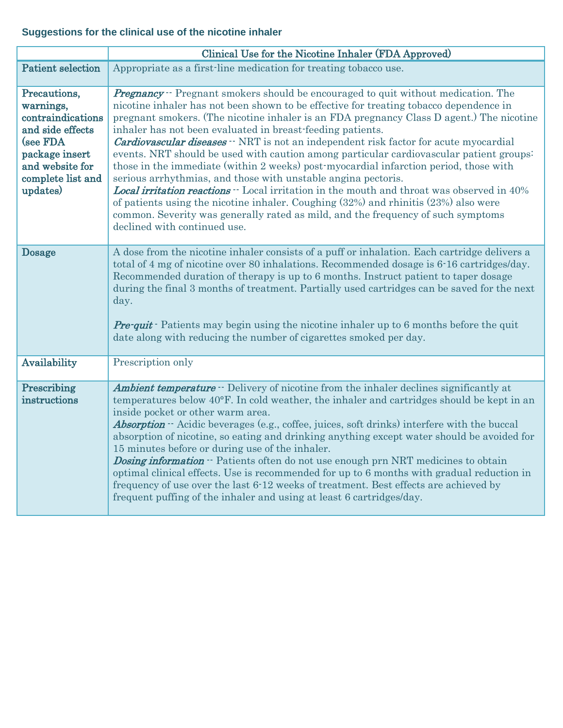# **Suggestions for the clinical use of the nicotine inhaler**

|                                                                                                                                                      | Clinical Use for the Nicotine Inhaler (FDA Approved)                                                                                                                                                                                                                                                                                                                                                                                                                                                                                                                                                                                                                                                                                                                                                                                                                                                                                                                                                                 |
|------------------------------------------------------------------------------------------------------------------------------------------------------|----------------------------------------------------------------------------------------------------------------------------------------------------------------------------------------------------------------------------------------------------------------------------------------------------------------------------------------------------------------------------------------------------------------------------------------------------------------------------------------------------------------------------------------------------------------------------------------------------------------------------------------------------------------------------------------------------------------------------------------------------------------------------------------------------------------------------------------------------------------------------------------------------------------------------------------------------------------------------------------------------------------------|
| <b>Patient selection</b>                                                                                                                             | Appropriate as a first-line medication for treating tobacco use.                                                                                                                                                                                                                                                                                                                                                                                                                                                                                                                                                                                                                                                                                                                                                                                                                                                                                                                                                     |
| Precautions,<br>warnings,<br>contraindications<br>and side effects<br>(see FDA<br>package insert<br>and website for<br>complete list and<br>updates) | <b>Pregnancy</b> : Pregnant smokers should be encouraged to quit without medication. The<br>nicotine inhaler has not been shown to be effective for treating tobacco dependence in<br>pregnant smokers. (The nicotine inhaler is an FDA pregnancy Class D agent.) The nicotine<br>inhaler has not been evaluated in breast-feeding patients.<br><b>Cardiovascular diseases</b> •• NRT is not an independent risk factor for acute myocardial<br>events. NRT should be used with caution among particular cardiovascular patient groups:<br>those in the immediate (within 2 weeks) post-myocardial infarction period, those with<br>serious arrhythmias, and those with unstable angina pectoris.<br><b>Local irritation reactions</b> - Local irritation in the mouth and throat was observed in 40%<br>of patients using the nicotine inhaler. Coughing $(32%)$ and rhinitis $(23%)$ also were<br>common. Severity was generally rated as mild, and the frequency of such symptoms<br>declined with continued use. |
| <b>Dosage</b>                                                                                                                                        | A dose from the nicotine inhaler consists of a puff or inhalation. Each cartridge delivers a<br>total of 4 mg of nicotine over 80 inhalations. Recommended dosage is 6.16 cartridges/day.<br>Recommended duration of therapy is up to 6 months. Instruct patient to taper dosage<br>during the final 3 months of treatment. Partially used cartridges can be saved for the next<br>day.<br><b>Pre-quit</b> Patients may begin using the nicotine inhaler up to 6 months before the quit<br>date along with reducing the number of cigarettes smoked per day.                                                                                                                                                                                                                                                                                                                                                                                                                                                         |
| Availability                                                                                                                                         | Prescription only                                                                                                                                                                                                                                                                                                                                                                                                                                                                                                                                                                                                                                                                                                                                                                                                                                                                                                                                                                                                    |
| Prescribing<br>instructions                                                                                                                          | <b>Ambient temperature</b> $\cdot$ Delivery of nicotine from the inhaler declines significantly at<br>temperatures below 40°F. In cold weather, the inhaler and cartridges should be kept in an<br>inside pocket or other warm area.<br><b>Absorption</b> - Acidic beverages (e.g., coffee, juices, soft drinks) interfere with the buccal<br>absorption of nicotine, so eating and drinking anything except water should be avoided for<br>15 minutes before or during use of the inhaler.<br><i>Dosing information</i> •• Patients often do not use enough prn NRT medicines to obtain<br>optimal clinical effects. Use is recommended for up to 6 months with gradual reduction in<br>frequency of use over the last 6-12 weeks of treatment. Best effects are achieved by<br>frequent puffing of the inhaler and using at least 6 cartridges/day.                                                                                                                                                                |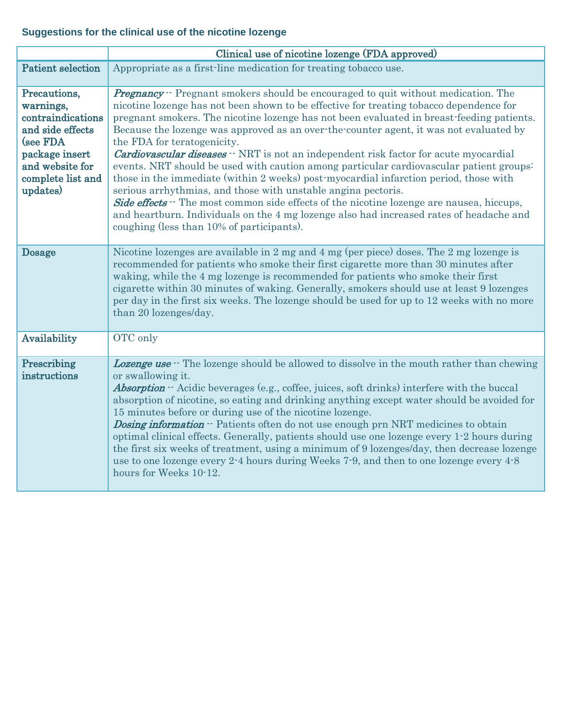# **Suggestions for the clinical use of the nicotine lozenge**

|                                                                                                                                                      | Clinical use of nicotine lozenge (FDA approved)                                                                                                                                                                                                                                                                                                                                                                                                                                                                                                                                                                                                                                                                                                                                                                                                                                                                                                                                                            |
|------------------------------------------------------------------------------------------------------------------------------------------------------|------------------------------------------------------------------------------------------------------------------------------------------------------------------------------------------------------------------------------------------------------------------------------------------------------------------------------------------------------------------------------------------------------------------------------------------------------------------------------------------------------------------------------------------------------------------------------------------------------------------------------------------------------------------------------------------------------------------------------------------------------------------------------------------------------------------------------------------------------------------------------------------------------------------------------------------------------------------------------------------------------------|
| <b>Patient selection</b>                                                                                                                             | Appropriate as a first-line medication for treating tobacco use.                                                                                                                                                                                                                                                                                                                                                                                                                                                                                                                                                                                                                                                                                                                                                                                                                                                                                                                                           |
| Precautions,<br>warnings,<br>contraindications<br>and side effects<br>(see FDA<br>package insert<br>and website for<br>complete list and<br>updates) | <b>Pregnancy</b> •• Pregnant smokers should be encouraged to quit without medication. The<br>nicotine lozenge has not been shown to be effective for treating to bacco dependence for<br>pregnant smokers. The nicotine lozenge has not been evaluated in breast-feeding patients.<br>Because the lozenge was approved as an over-the-counter agent, it was not evaluated by<br>the FDA for teratogenicity.<br><b>Cardiovascular diseases</b> - NRT is not an independent risk factor for acute myocardial<br>events. NRT should be used with caution among particular cardiovascular patient groups:<br>those in the immediate (within 2 weeks) post-myocardial infarction period, those with<br>serious arrhythmias, and those with unstable angina pectoris.<br><b>Side effects</b> - The most common side effects of the nicotine lozenge are nausea, hiccups,<br>and heartburn. Individuals on the 4 mg lozenge also had increased rates of headache and<br>coughing (less than 10% of participants). |
| Dosage                                                                                                                                               | Nicotine lozenges are available in 2 mg and 4 mg (per piece) doses. The 2 mg lozenge is<br>recommended for patients who smoke their first cigarette more than 30 minutes after<br>waking, while the 4 mg lozenge is recommended for patients who smoke their first<br>cigarette within 30 minutes of waking. Generally, smokers should use at least 9 lozenges<br>per day in the first six weeks. The lozenge should be used for up to 12 weeks with no more<br>than 20 lozenges/day.                                                                                                                                                                                                                                                                                                                                                                                                                                                                                                                      |
| Availability                                                                                                                                         | OTC only                                                                                                                                                                                                                                                                                                                                                                                                                                                                                                                                                                                                                                                                                                                                                                                                                                                                                                                                                                                                   |
| Prescribing<br>instructions                                                                                                                          | <b>Lozenge use</b> The lozenge should be allowed to dissolve in the mouth rather than chewing<br>or swallowing it.<br><b>Absorption</b> - Acidic beverages (e.g., coffee, juices, soft drinks) interfere with the buccal<br>absorption of nicotine, so eating and drinking anything except water should be avoided for<br>15 minutes before or during use of the nicotine lozenge.<br><b>Dosing information</b> - Patients often do not use enough prn NRT medicines to obtain<br>optimal clinical effects. Generally, patients should use one lozenge every 1-2 hours during<br>the first six weeks of treatment, using a minimum of 9 lozenges/day, then decrease lozenge<br>use to one lozenge every 2-4 hours during Weeks 7-9, and then to one lozenge every 4-8<br>hours for Weeks 10-12.                                                                                                                                                                                                            |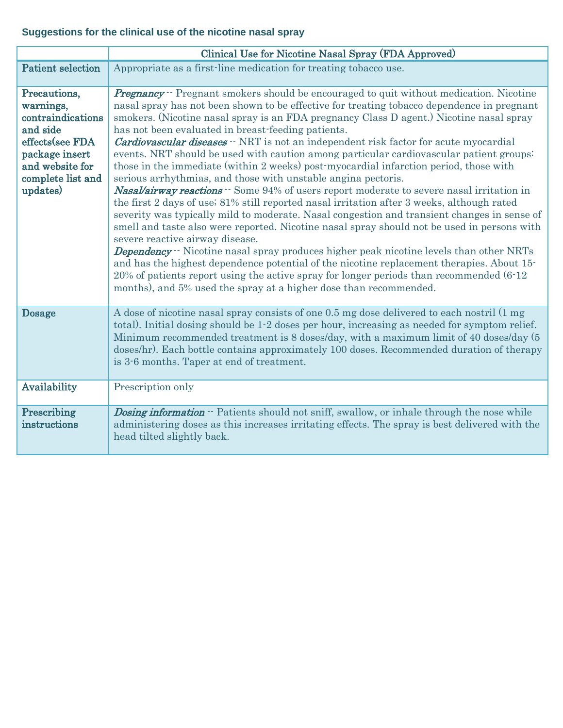# **Suggestions for the clinical use of the nicotine nasal spray**

|                                                                                                                                                      | Clinical Use for Nicotine Nasal Spray (FDA Approved)                                                                                                                                                                                                                                                                                                                                                                                                                                                                                                                                                                                                                                                                                                                                                                                                                                                                                                                                                                                                                                                                                                                                                                                                                                                                                                                                                                                                                                                     |
|------------------------------------------------------------------------------------------------------------------------------------------------------|----------------------------------------------------------------------------------------------------------------------------------------------------------------------------------------------------------------------------------------------------------------------------------------------------------------------------------------------------------------------------------------------------------------------------------------------------------------------------------------------------------------------------------------------------------------------------------------------------------------------------------------------------------------------------------------------------------------------------------------------------------------------------------------------------------------------------------------------------------------------------------------------------------------------------------------------------------------------------------------------------------------------------------------------------------------------------------------------------------------------------------------------------------------------------------------------------------------------------------------------------------------------------------------------------------------------------------------------------------------------------------------------------------------------------------------------------------------------------------------------------------|
| <b>Patient selection</b>                                                                                                                             | Appropriate as a first-line medication for treating tobacco use.                                                                                                                                                                                                                                                                                                                                                                                                                                                                                                                                                                                                                                                                                                                                                                                                                                                                                                                                                                                                                                                                                                                                                                                                                                                                                                                                                                                                                                         |
| Precautions,<br>warnings,<br>contraindications<br>and side<br>effects (see FDA<br>package insert<br>and website for<br>complete list and<br>updates) | <b>Pregnancy</b> • Pregnant smokers should be encouraged to quit without medication. Nicotine<br>nasal spray has not been shown to be effective for treating to bacco dependence in pregnant<br>smokers. (Nicotine nasal spray is an FDA pregnancy Class D agent.) Nicotine nasal spray<br>has not been evaluated in breast-feeding patients.<br><b>Cardiovascular diseases</b> •• NRT is not an independent risk factor for acute myocardial<br>events. NRT should be used with caution among particular cardiovascular patient groups:<br>those in the immediate (within 2 weeks) post-myocardial infarction period, those with<br>serious arrhythmias, and those with unstable angina pectoris.<br><b>Nasal/airway reactions</b> - Some 94% of users report moderate to severe nasal irritation in<br>the first 2 days of use; 81% still reported nasal irritation after 3 weeks, although rated<br>severity was typically mild to moderate. Nasal congestion and transient changes in sense of<br>smell and taste also were reported. Nicotine nasal spray should not be used in persons with<br>severe reactive airway disease.<br><b>Dependency</b> • Nicotine nasal spray produces higher peak nicotine levels than other NRTs<br>and has the highest dependence potential of the nicotine replacement therapies. About 15-<br>$20\%$ of patients report using the active spray for longer periods than recommended $(6-12)$<br>months), and 5% used the spray at a higher dose than recommended. |
| <b>Dosage</b>                                                                                                                                        | A dose of nicotine nasal spray consists of one 0.5 mg dose delivered to each nostril (1 mg<br>total). Initial dosing should be 1.2 doses per hour, increasing as needed for symptom relief.<br>Minimum recommended treatment is 8 doses/day, with a maximum limit of 40 doses/day (5<br>doses/hr). Each bottle contains approximately 100 doses. Recommended duration of therapy<br>is 3.6 months. Taper at end of treatment.                                                                                                                                                                                                                                                                                                                                                                                                                                                                                                                                                                                                                                                                                                                                                                                                                                                                                                                                                                                                                                                                            |
| Availability                                                                                                                                         | Prescription only                                                                                                                                                                                                                                                                                                                                                                                                                                                                                                                                                                                                                                                                                                                                                                                                                                                                                                                                                                                                                                                                                                                                                                                                                                                                                                                                                                                                                                                                                        |
| Prescribing<br>instructions                                                                                                                          | <b>Dosing information</b> - Patients should not sniff, swallow, or inhale through the nose while<br>administering doses as this increases irritating effects. The spray is best delivered with the<br>head tilted slightly back.                                                                                                                                                                                                                                                                                                                                                                                                                                                                                                                                                                                                                                                                                                                                                                                                                                                                                                                                                                                                                                                                                                                                                                                                                                                                         |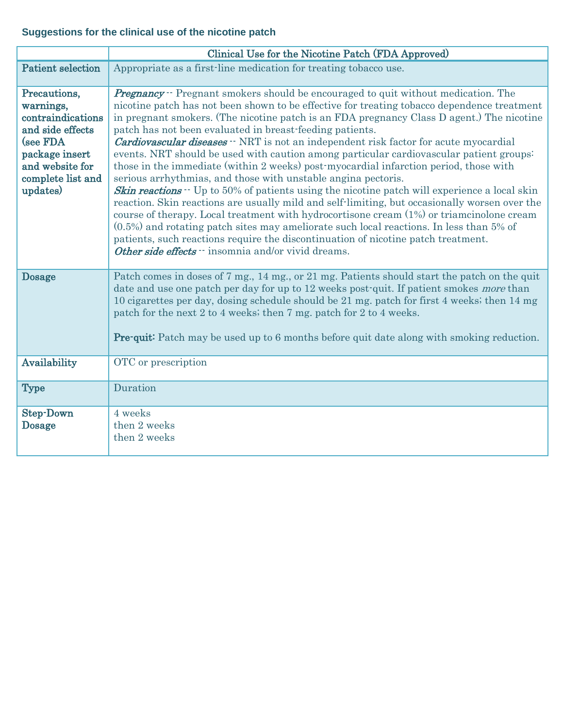# **Suggestions for the clinical use of the nicotine patch**

|                                                                                                                                                      | Clinical Use for the Nicotine Patch (FDA Approved)                                                                                                                                                                                                                                                                                                                                                                                                                                                                                                                                                                                                                                                                                                                                                                                                                                                                                                                                                                                                                                                                                                                                                                                                                |
|------------------------------------------------------------------------------------------------------------------------------------------------------|-------------------------------------------------------------------------------------------------------------------------------------------------------------------------------------------------------------------------------------------------------------------------------------------------------------------------------------------------------------------------------------------------------------------------------------------------------------------------------------------------------------------------------------------------------------------------------------------------------------------------------------------------------------------------------------------------------------------------------------------------------------------------------------------------------------------------------------------------------------------------------------------------------------------------------------------------------------------------------------------------------------------------------------------------------------------------------------------------------------------------------------------------------------------------------------------------------------------------------------------------------------------|
| <b>Patient selection</b>                                                                                                                             | Appropriate as a first-line medication for treating tobacco use.                                                                                                                                                                                                                                                                                                                                                                                                                                                                                                                                                                                                                                                                                                                                                                                                                                                                                                                                                                                                                                                                                                                                                                                                  |
| Precautions,<br>warnings,<br>contraindications<br>and side effects<br>(see FDA<br>package insert<br>and website for<br>complete list and<br>updates) | <b>Pregnancy</b> : Pregnant smokers should be encouraged to quit without medication. The<br>nicotine patch has not been shown to be effective for treating to bacco dependence treatment<br>in pregnant smokers. (The nicotine patch is an FDA pregnancy Class D agent.) The nicotine<br>patch has not been evaluated in breast-feeding patients.<br><b>Cardiovascular diseases</b> •• NRT is not an independent risk factor for acute myocardial<br>events. NRT should be used with caution among particular cardiovascular patient groups:<br>those in the immediate (within 2 weeks) post-myocardial infarction period, those with<br>serious arrhythmias, and those with unstable angina pectoris.<br><b>Skin reactions</b> $\cdot$ Up to 50% of patients using the nicotine patch will experience a local skin<br>reaction. Skin reactions are usually mild and self-limiting, but occasionally worsen over the<br>course of the rapy. Local treatment with hydrocortisone cream (1%) or triamcinolone cream<br>$(0.5\%)$ and rotating patch sites may ameliorate such local reactions. In less than 5% of<br>patients, such reactions require the discontinuation of nicotine patch treatment.<br><b>Other side effects</b> - insomnia and/or vivid dreams. |
| <b>Dosage</b>                                                                                                                                        | Patch comes in doses of 7 mg., 14 mg., or 21 mg. Patients should start the patch on the quit<br>date and use one patch per day for up to 12 weeks post-quit. If patient smokes more than<br>10 cigarettes per day, dosing schedule should be 21 mg. patch for first 4 weeks; then 14 mg<br>patch for the next 2 to 4 weeks; then 7 mg. patch for 2 to 4 weeks.<br><b>Pre-quit:</b> Patch may be used up to 6 months before quit date along with smoking reduction.                                                                                                                                                                                                                                                                                                                                                                                                                                                                                                                                                                                                                                                                                                                                                                                                |
| Availability                                                                                                                                         | OTC or prescription                                                                                                                                                                                                                                                                                                                                                                                                                                                                                                                                                                                                                                                                                                                                                                                                                                                                                                                                                                                                                                                                                                                                                                                                                                               |
| <b>Type</b>                                                                                                                                          | Duration                                                                                                                                                                                                                                                                                                                                                                                                                                                                                                                                                                                                                                                                                                                                                                                                                                                                                                                                                                                                                                                                                                                                                                                                                                                          |
| <b>Step-Down</b><br><b>Dosage</b>                                                                                                                    | 4 weeks<br>then 2 weeks<br>then 2 weeks                                                                                                                                                                                                                                                                                                                                                                                                                                                                                                                                                                                                                                                                                                                                                                                                                                                                                                                                                                                                                                                                                                                                                                                                                           |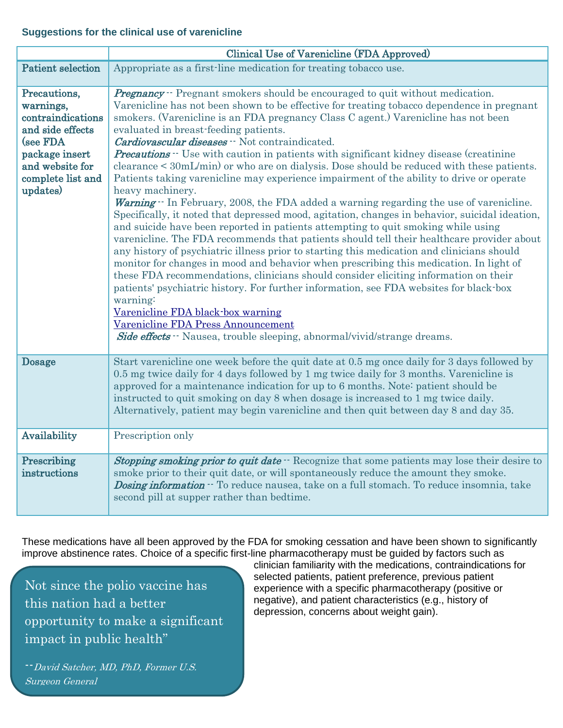#### **Suggestions for the clinical use of varenicline**

|                                                                                                                                                      | <b>Clinical Use of Varenicline (FDA Approved)</b>                                                                                                                                                                                                                                                                                                                                                                                                                                                                                                                                                                                                                                                                                                                                                                                                                                                                                                                                                                                                                                                                                                                                                                                                                                                                                                                                                                                                                                                                                                                                                                                  |
|------------------------------------------------------------------------------------------------------------------------------------------------------|------------------------------------------------------------------------------------------------------------------------------------------------------------------------------------------------------------------------------------------------------------------------------------------------------------------------------------------------------------------------------------------------------------------------------------------------------------------------------------------------------------------------------------------------------------------------------------------------------------------------------------------------------------------------------------------------------------------------------------------------------------------------------------------------------------------------------------------------------------------------------------------------------------------------------------------------------------------------------------------------------------------------------------------------------------------------------------------------------------------------------------------------------------------------------------------------------------------------------------------------------------------------------------------------------------------------------------------------------------------------------------------------------------------------------------------------------------------------------------------------------------------------------------------------------------------------------------------------------------------------------------|
| <b>Patient selection</b>                                                                                                                             | Appropriate as a first-line medication for treating tobacco use.                                                                                                                                                                                                                                                                                                                                                                                                                                                                                                                                                                                                                                                                                                                                                                                                                                                                                                                                                                                                                                                                                                                                                                                                                                                                                                                                                                                                                                                                                                                                                                   |
| Precautions,<br>warnings,<br>contraindications<br>and side effects<br>(see FDA<br>package insert<br>and website for<br>complete list and<br>updates) | <b>Pregnancy</b> : Pregnant smokers should be encouraged to quit without medication.<br>Varenicline has not been shown to be effective for treating tobacco dependence in pregnant<br>smokers. (Varenicline is an FDA pregnancy Class C agent.) Varenicline has not been<br>evaluated in breast-feeding patients.<br>Cardiovascular diseases -- Not contraindicated.<br><b>Precautions</b> $\cdot$ Use with caution in patients with significant kidney disease (creatinine)<br>$clearance < 30mL/min$ or who are on dialysis. Dose should be reduced with these patients.<br>Patients taking varenicline may experience impairment of the ability to drive or operate<br>heavy machinery.<br><b>Warning</b> - In February, 2008, the FDA added a warning regarding the use of varenicline.<br>Specifically, it noted that depressed mood, agitation, changes in behavior, suicidal ideation,<br>and suicide have been reported in patients attempting to quit smoking while using<br>varenicline. The FDA recommends that patients should tell their healthcare provider about<br>any history of psychiatric illness prior to starting this medication and clinicians should<br>monitor for changes in mood and behavior when prescribing this medication. In light of<br>these FDA recommendations, clinicians should consider eliciting information on their<br>patients' psychiatric history. For further information, see FDA websites for black-box<br>warning:<br>Varenicline FDA black-box warning<br>Varenicline FDA Press Announcement<br><b>Side effects</b> - Nausea, trouble sleeping, abnormal/vivid/strange dreams. |
| Dosage                                                                                                                                               | Start varenicline one week before the quit date at 0.5 mg once daily for 3 days followed by<br>0.5 mg twice daily for 4 days followed by 1 mg twice daily for 3 months. Varenicline is<br>approved for a maintenance indication for up to 6 months. Note patient should be<br>instructed to quit smoking on day 8 when dosage is increased to 1 mg twice daily.<br>Alternatively, patient may begin varenicline and then quit between day 8 and day 35.                                                                                                                                                                                                                                                                                                                                                                                                                                                                                                                                                                                                                                                                                                                                                                                                                                                                                                                                                                                                                                                                                                                                                                            |
| Availability                                                                                                                                         | Prescription only                                                                                                                                                                                                                                                                                                                                                                                                                                                                                                                                                                                                                                                                                                                                                                                                                                                                                                                                                                                                                                                                                                                                                                                                                                                                                                                                                                                                                                                                                                                                                                                                                  |
| Prescribing<br>instructions                                                                                                                          | <b>Stopping smoking prior to quit date</b> $\cdot$ Recognize that some patients may lose their desire to<br>smoke prior to their quit date, or will spontaneously reduce the amount they smoke.<br><b>Dosing information</b> $\cdot$ To reduce nausea, take on a full stomach. To reduce insomnia, take<br>second pill at supper rather than bedtime.                                                                                                                                                                                                                                                                                                                                                                                                                                                                                                                                                                                                                                                                                                                                                                                                                                                                                                                                                                                                                                                                                                                                                                                                                                                                              |

These medications have all been approved by the FDA for smoking cessation and have been shown to significantly improve abstinence rates. Choice of a specific first-line pharmacotherapy must be guided by factors such as

Not since the polio vaccine has this nation had a better opportunity to make a significant impact in public health"

--David Satcher, MD, PhD, Former U.S. Surgeon General

clinician familiarity with the medications, contraindications for selected patients, patient preference, previous patient experience with a specific pharmacotherapy (positive or negative), and patient characteristics (e.g., history of depression, concerns about weight gain).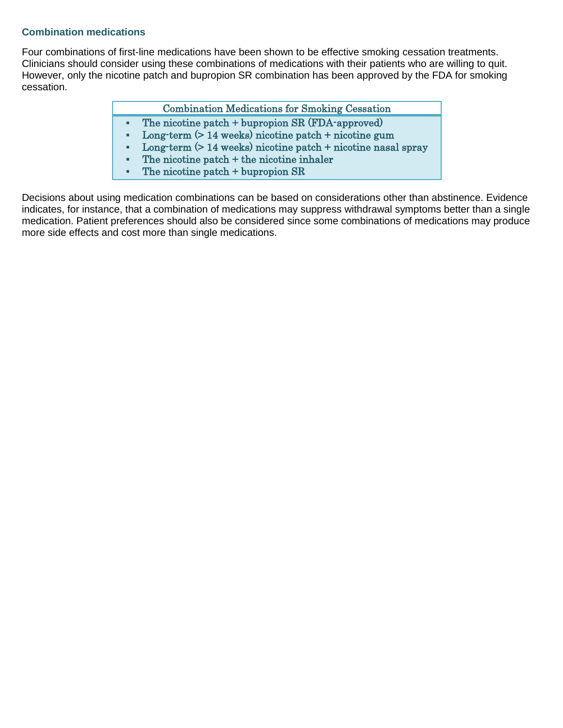### **Combination medications**

Four combinations of first-line medications have been shown to be effective smoking cessation treatments. Clinicians should consider using these combinations of medications with their patients who are willing to quit. However, only the nicotine patch and bupropion SR combination has been approved by the FDA for smoking cessation.

# Combination Medications for Smoking Cessation

- The nicotine patch + bupropion SR (FDA-approved)
- Long-term (> 14 weeks) nicotine patch + nicotine gum
- Long-term (> 14 weeks) nicotine patch + nicotine nasal spray
- The nicotine patch + the nicotine inhaler
- The nicotine patch + bupropion SR

Decisions about using medication combinations can be based on considerations other than abstinence. Evidence indicates, for instance, that a combination of medications may suppress withdrawal symptoms better than a single medication. Patient preferences should also be considered since some combinations of medications may produce more side effects and cost more than single medications.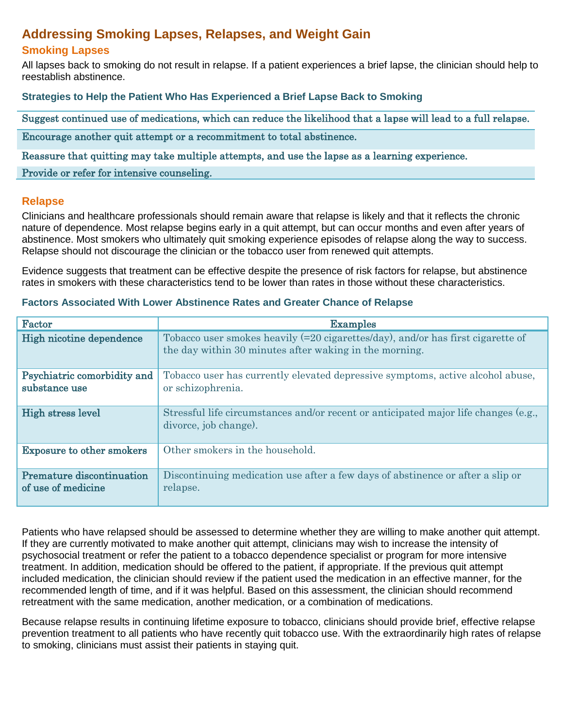# <span id="page-22-0"></span>**Addressing Smoking Lapses, Relapses, and Weight Gain**

# **Smoking Lapses**

All lapses back to smoking do not result in relapse. If a patient experiences a brief lapse, the clinician should help to reestablish abstinence.

**Strategies to Help the Patient Who Has Experienced a Brief Lapse Back to Smoking**

Suggest continued use of medications, which can reduce the likelihood that a lapse will lead to a full relapse.

Encourage another quit attempt or a recommitment to total abstinence.

Reassure that quitting may take multiple attempts, and use the lapse as a learning experience.

Provide or refer for intensive counseling.

### **Relapse**

Clinicians and healthcare professionals should remain aware that relapse is likely and that it reflects the chronic nature of dependence. Most relapse begins early in a quit attempt, but can occur months and even after years of abstinence. Most smokers who ultimately quit smoking experience episodes of relapse along the way to success. Relapse should not discourage the clinician or the tobacco user from renewed quit attempts.

Evidence suggests that treatment can be effective despite the presence of risk factors for relapse, but abstinence rates in smokers with these characteristics tend to be lower than rates in those without these characteristics.

| Factor                                                 | <b>Examples</b>                                                                                                                                     |
|--------------------------------------------------------|-----------------------------------------------------------------------------------------------------------------------------------------------------|
| High nicotine dependence                               | Tobacco user smokes heavily $(=20 \text{ eigenttes/day})$ , and/or has first cigarette of<br>the day within 30 minutes after waking in the morning. |
| Psychiatric comorbidity and<br>substance use           | Tobacco user has currently elevated depressive symptoms, active alcohol abuse,<br>or schizophrenia.                                                 |
| High stress level                                      | Stressful life circumstances and/or recent or anticipated major life changes (e.g.,<br>divorce, job change).                                        |
| <b>Exposure to other smokers</b>                       | Other smokers in the household.                                                                                                                     |
| <b>Premature discontinuation</b><br>of use of medicine | Discontinuing medication use after a few days of abstinence or after a slip or<br>relapse.                                                          |

#### **Factors Associated With Lower Abstinence Rates and Greater Chance of Relapse**

Patients who have relapsed should be assessed to determine whether they are willing to make another quit attempt. If they are currently motivated to make another quit attempt, clinicians may wish to increase the intensity of psychosocial treatment or refer the patient to a tobacco dependence specialist or program for more intensive treatment. In addition, medication should be offered to the patient, if appropriate. If the previous quit attempt included medication, the clinician should review if the patient used the medication in an effective manner, for the recommended length of time, and if it was helpful. Based on this assessment, the clinician should recommend retreatment with the same medication, another medication, or a combination of medications.

Because relapse results in continuing lifetime exposure to tobacco, clinicians should provide brief, effective relapse prevention treatment to all patients who have recently quit tobacco use. With the extraordinarily high rates of relapse to smoking, clinicians must assist their patients in staying quit.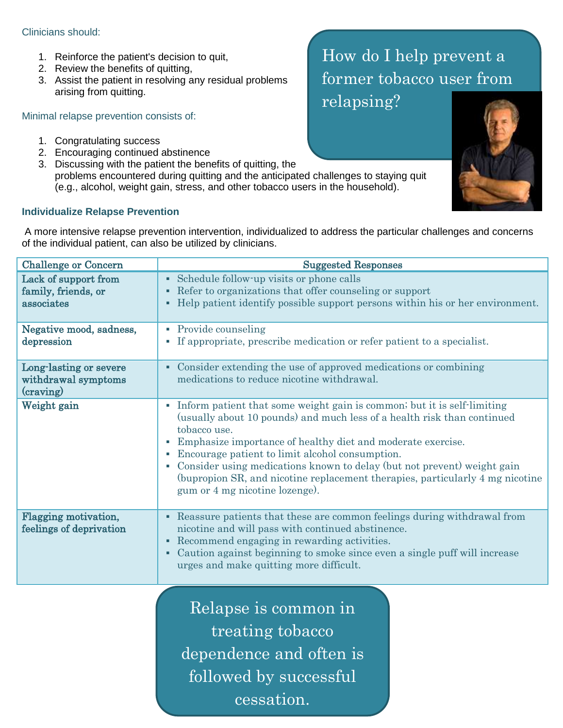### Clinicians should:

- 1. Reinforce the patient's decision to quit,
- 2. Review the benefits of quitting,
- 3. Assist the patient in resolving any residual problems arising from quitting.

Minimal relapse prevention consists of:

- 1. Congratulating success
- 2. Encouraging continued abstinence
- 3. Discussing with the patient the benefits of quitting, the problems encountered during quitting and the anticipated challenges to staying quit (e.g., alcohol, weight gain, stress, and other tobacco users in the household).

### **Individualize Relapse Prevention**

 A more intensive relapse prevention intervention, individualized to address the particular challenges and concerns of the individual patient, can also be utilized by clinicians.

| <b>Challenge or Concern</b>                                | <b>Suggested Responses</b>                                                                                                                                                                                                                                                                                                                                                                                                                                                               |  |
|------------------------------------------------------------|------------------------------------------------------------------------------------------------------------------------------------------------------------------------------------------------------------------------------------------------------------------------------------------------------------------------------------------------------------------------------------------------------------------------------------------------------------------------------------------|--|
| Lack of support from<br>family, friends, or<br>associates  | • Schedule follow-up visits or phone calls<br>• Refer to organizations that offer counseling or support<br>Help patient identify possible support persons within his or her environment.                                                                                                                                                                                                                                                                                                 |  |
| Negative mood, sadness,<br>depression                      | • Provide counseling<br>If appropriate, prescribe medication or refer patient to a specialist.                                                                                                                                                                                                                                                                                                                                                                                           |  |
| Long-lasting or severe<br>withdrawal symptoms<br>(craving) | • Consider extending the use of approved medications or combining<br>medications to reduce nicotine withdrawal.                                                                                                                                                                                                                                                                                                                                                                          |  |
| Weight gain                                                | Inform patient that some weight gain is common; but it is self-limiting<br>a.<br>(usually about 10 pounds) and much less of a health risk than continued<br>tobacco use.<br>Emphasize importance of healthy diet and moderate exercise.<br>Encourage patient to limit alcohol consumption.<br>Consider using medications known to delay (but not prevent) weight gain<br>(bupropion SR, and nicotine replacement therapies, particularly 4 mg nicotine<br>gum or 4 mg nicotine lozenge). |  |
| Flagging motivation,<br>feelings of deprivation            | • Reassure patients that these are common feelings during withdrawal from<br>nicotine and will pass with continued abstinence.<br>• Recommend engaging in rewarding activities.<br>• Caution against beginning to smoke since even a single puff will increase<br>urges and make quitting more difficult.                                                                                                                                                                                |  |
|                                                            | Relapse is common in                                                                                                                                                                                                                                                                                                                                                                                                                                                                     |  |

treating tobacco dependence and often is followed by successful cessation.

How do I help prevent a former tobacco user from relapsing?

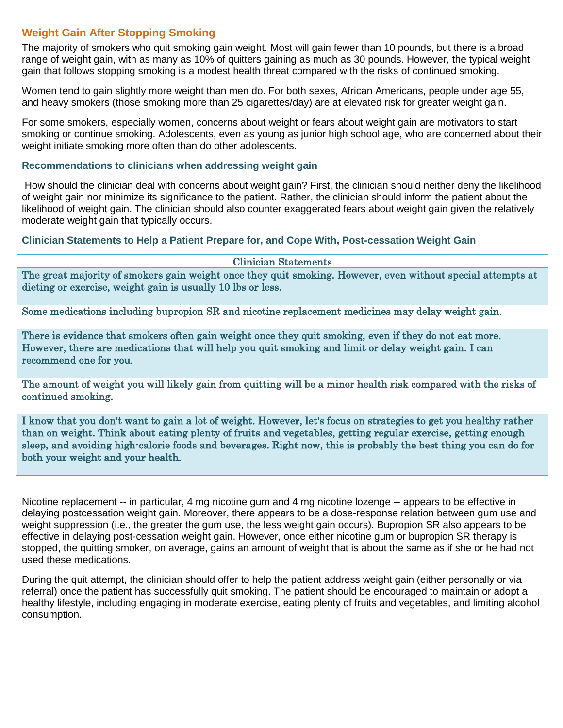# <span id="page-24-0"></span>**Weight Gain After Stopping Smoking**

The majority of smokers who quit smoking gain weight. Most will gain fewer than 10 pounds, but there is a broad range of weight gain, with as many as 10% of quitters gaining as much as 30 pounds. However, the typical weight gain that follows stopping smoking is a modest health threat compared with the risks of continued smoking.

Women tend to gain slightly more weight than men do. For both sexes, African Americans, people under age 55, and heavy smokers (those smoking more than 25 cigarettes/day) are at elevated risk for greater weight gain.

For some smokers, especially women, concerns about weight or fears about weight gain are motivators to start smoking or continue smoking. Adolescents, even as young as junior high school age, who are concerned about their weight initiate smoking more often than do other adolescents.

#### **Recommendations to clinicians when addressing weight gain**

 How should the clinician deal with concerns about weight gain? First, the clinician should neither deny the likelihood of weight gain nor minimize its significance to the patient. Rather, the clinician should inform the patient about the likelihood of weight gain. The clinician should also counter exaggerated fears about weight gain given the relatively moderate weight gain that typically occurs.

**Clinician Statements to Help a Patient Prepare for, and Cope With, Post-cessation Weight Gain**

#### Clinician Statements

The great majority of smokers gain weight once they quit smoking. However, even without special attempts at dieting or exercise, weight gain is usually 10 lbs or less.

Some medications including bupropion SR and nicotine replacement medicines may delay weight gain.

There is evidence that smokers often gain weight once they quit smoking, even if they do not eat more. However, there are medications that will help you quit smoking and limit or delay weight gain. I can recommend one for you.

The amount of weight you will likely gain from quitting will be a minor health risk compared with the risks of continued smoking.

I know that you don't want to gain a lot of weight. However, let's focus on strategies to get you healthy rather than on weight. Think about eating plenty of fruits and vegetables, getting regular exercise, getting enough sleep, and avoiding high-calorie foods and beverages. Right now, this is probably the best thing you can do for both your weight and your health.

Nicotine replacement -- in particular, 4 mg nicotine gum and 4 mg nicotine lozenge -- appears to be effective in delaying postcessation weight gain. Moreover, there appears to be a dose-response relation between gum use and weight suppression (i.e., the greater the gum use, the less weight gain occurs). Bupropion SR also appears to be effective in delaying post-cessation weight gain. However, once either nicotine gum or bupropion SR therapy is stopped, the quitting smoker, on average, gains an amount of weight that is about the same as if she or he had not used these medications.

During the quit attempt, the clinician should offer to help the patient address weight gain (either personally or via referral) once the patient has successfully quit smoking. The patient should be encouraged to maintain or adopt a healthy lifestyle, including engaging in moderate exercise, eating plenty of fruits and vegetables, and limiting alcohol consumption.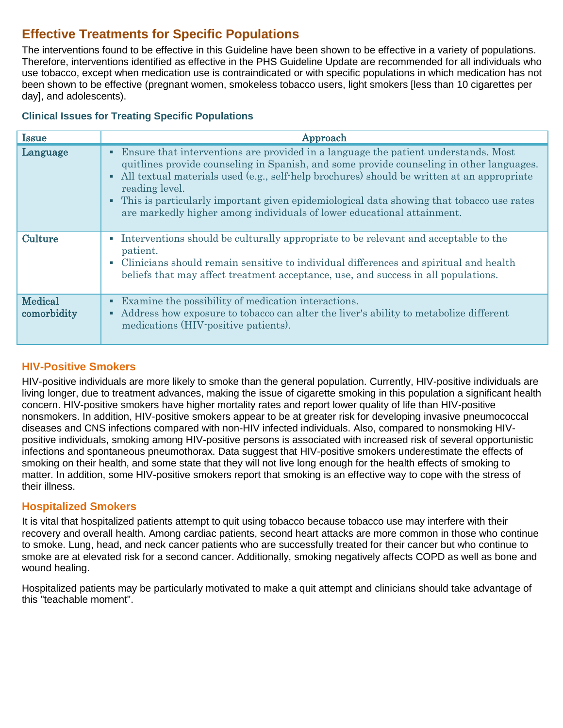# <span id="page-25-0"></span>**Effective Treatments for Specific Populations**

The interventions found to be effective in this Guideline have been shown to be effective in a variety of populations. Therefore, interventions identified as effective in the PHS Guideline Update are recommended for all individuals who use tobacco, except when medication use is contraindicated or with specific populations in which medication has not been shown to be effective (pregnant women, smokeless tobacco users, light smokers [less than 10 cigarettes per day], and adolescents).

| <b>Issue</b>           | Approach                                                                                                                                                                                                                                                                                                                                                                                                                                                                         |
|------------------------|----------------------------------------------------------------------------------------------------------------------------------------------------------------------------------------------------------------------------------------------------------------------------------------------------------------------------------------------------------------------------------------------------------------------------------------------------------------------------------|
| Language               | Ensure that interventions are provided in a language the patient understands. Most<br>٠<br>quittines provide counseling in Spanish, and some provide counseling in other languages.<br>All textual materials used (e.g., self-help brochures) should be written at an appropriate<br>٠<br>reading level.<br>• This is particularly important given epidemiological data showing that tobacco use rates<br>are markedly higher among individuals of lower educational attainment. |
| Culture                | Interventions should be culturally appropriate to be relevant and acceptable to the<br>$\sim$<br>patient.<br>• Clinicians should remain sensitive to individual differences and spiritual and health<br>beliefs that may affect treatment acceptance, use, and success in all populations.                                                                                                                                                                                       |
| Medical<br>comorbidity | Examine the possibility of medication interactions.<br>٠<br>Address how exposure to tobacco can alter the liver's ability to metabolize different<br>٠<br>medications (HIV-positive patients).                                                                                                                                                                                                                                                                                   |

### **Clinical Issues for Treating Specific Populations**

# **HIV-Positive Smokers**

HIV-positive individuals are more likely to smoke than the general population. Currently, HIV-positive individuals are living longer, due to treatment advances, making the issue of cigarette smoking in this population a significant health concern. HIV-positive smokers have higher mortality rates and report lower quality of life than HIV-positive nonsmokers. In addition, HIV-positive smokers appear to be at greater risk for developing invasive pneumococcal diseases and CNS infections compared with non-HIV infected individuals. Also, compared to nonsmoking HIVpositive individuals, smoking among HIV-positive persons is associated with increased risk of several opportunistic infections and spontaneous pneumothorax. Data suggest that HIV-positive smokers underestimate the effects of smoking on their health, and some state that they will not live long enough for the health effects of smoking to matter. In addition, some HIV-positive smokers report that smoking is an effective way to cope with the stress of their illness.

# **Hospitalized Smokers**

It is vital that hospitalized patients attempt to quit using tobacco because tobacco use may interfere with their recovery and overall health. Among cardiac patients, second heart attacks are more common in those who continue to smoke. Lung, head, and neck cancer patients who are successfully treated for their cancer but who continue to smoke are at elevated risk for a second cancer. Additionally, smoking negatively affects COPD as well as bone and wound healing.

Hospitalized patients may be particularly motivated to make a quit attempt and clinicians should take advantage of this "teachable moment".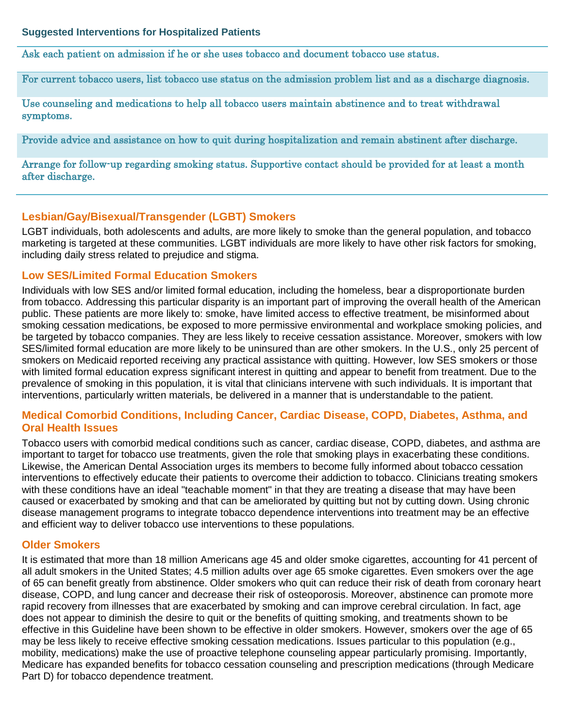#### <span id="page-26-0"></span>**Suggested Interventions for Hospitalized Patients**

Ask each patient on admission if he or she uses tobacco and document tobacco use status.

For current tobacco users, list tobacco use status on the admission problem list and as a discharge diagnosis.

Use counseling and medications to help all tobacco users maintain abstinence and to treat withdrawal symptoms.

Provide advice and assistance on how to quit during hospitalization and remain abstinent after discharge.

Arrange for follow-up regarding smoking status. Supportive contact should be provided for at least a month after discharge.

#### **Lesbian/Gay/Bisexual/Transgender (LGBT) Smokers**

LGBT individuals, both adolescents and adults, are more likely to smoke than the general population, and tobacco marketing is targeted at these communities. LGBT individuals are more likely to have other risk factors for smoking, including daily stress related to prejudice and stigma.

### **Low SES/Limited Formal Education Smokers**

Individuals with low SES and/or limited formal education, including the homeless, bear a disproportionate burden from tobacco. Addressing this particular disparity is an important part of improving the overall health of the American public. These patients are more likely to: smoke, have limited access to effective treatment, be misinformed about smoking cessation medications, be exposed to more permissive environmental and workplace smoking policies, and be targeted by tobacco companies. They are less likely to receive cessation assistance. Moreover, smokers with low SES/limited formal education are more likely to be uninsured than are other smokers. In the U.S., only 25 percent of smokers on Medicaid reported receiving any practical assistance with quitting. However, low SES smokers or those with limited formal education express significant interest in quitting and appear to benefit from treatment. Due to the prevalence of smoking in this population, it is vital that clinicians intervene with such individuals. It is important that interventions, particularly written materials, be delivered in a manner that is understandable to the patient.

### **Medical Comorbid Conditions, Including Cancer, Cardiac Disease, COPD, Diabetes, Asthma, and Oral Health Issues**

Tobacco users with comorbid medical conditions such as cancer, cardiac disease, COPD, diabetes, and asthma are important to target for tobacco use treatments, given the role that smoking plays in exacerbating these conditions. Likewise, the American Dental Association urges its members to become fully informed about tobacco cessation interventions to effectively educate their patients to overcome their addiction to tobacco. Clinicians treating smokers with these conditions have an ideal "teachable moment" in that they are treating a disease that may have been caused or exacerbated by smoking and that can be ameliorated by quitting but not by cutting down. Using chronic disease management programs to integrate tobacco dependence interventions into treatment may be an effective and efficient way to deliver tobacco use interventions to these populations.

### **Older Smokers**

It is estimated that more than 18 million Americans age 45 and older smoke cigarettes, accounting for 41 percent of all adult smokers in the United States; 4.5 million adults over age 65 smoke cigarettes. Even smokers over the age of 65 can benefit greatly from abstinence. Older smokers who quit can reduce their risk of death from coronary heart disease, COPD, and lung cancer and decrease their risk of osteoporosis. Moreover, abstinence can promote more rapid recovery from illnesses that are exacerbated by smoking and can improve cerebral circulation. In fact, age does not appear to diminish the desire to quit or the benefits of quitting smoking, and treatments shown to be effective in this Guideline have been shown to be effective in older smokers. However, smokers over the age of 65 may be less likely to receive effective smoking cessation medications. Issues particular to this population (e.g., mobility, medications) make the use of proactive telephone counseling appear particularly promising. Importantly, Medicare has expanded benefits for tobacco cessation counseling and prescription medications (through Medicare Part D) for tobacco dependence treatment.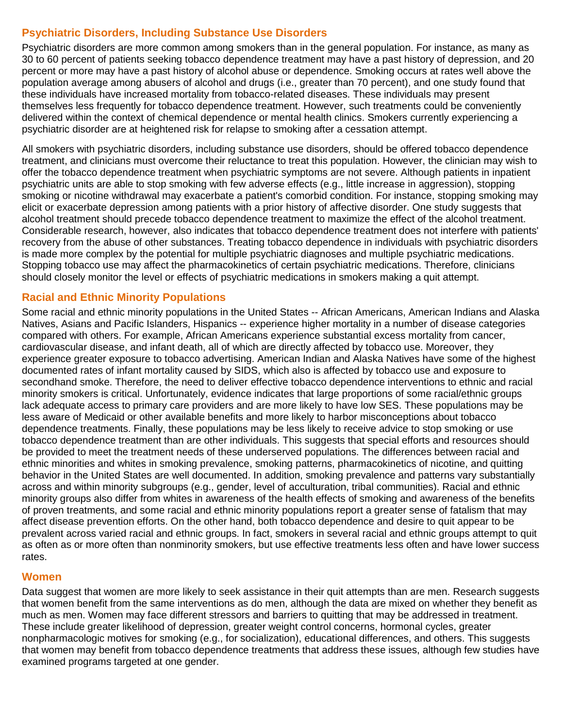# <span id="page-27-0"></span>**Psychiatric Disorders, Including Substance Use Disorders**

Psychiatric disorders are more common among smokers than in the general population. For instance, as many as 30 to 60 percent of patients seeking tobacco dependence treatment may have a past history of depression, and 20 percent or more may have a past history of alcohol abuse or dependence. Smoking occurs at rates well above the population average among abusers of alcohol and drugs (i.e., greater than 70 percent), and one study found that these individuals have increased mortality from tobacco-related diseases. These individuals may present themselves less frequently for tobacco dependence treatment. However, such treatments could be conveniently delivered within the context of chemical dependence or mental health clinics. Smokers currently experiencing a psychiatric disorder are at heightened risk for relapse to smoking after a cessation attempt.

All smokers with psychiatric disorders, including substance use disorders, should be offered tobacco dependence treatment, and clinicians must overcome their reluctance to treat this population. However, the clinician may wish to offer the tobacco dependence treatment when psychiatric symptoms are not severe. Although patients in inpatient psychiatric units are able to stop smoking with few adverse effects (e.g., little increase in aggression), stopping smoking or nicotine withdrawal may exacerbate a patient's comorbid condition. For instance, stopping smoking may elicit or exacerbate depression among patients with a prior history of affective disorder. One study suggests that alcohol treatment should precede tobacco dependence treatment to maximize the effect of the alcohol treatment. Considerable research, however, also indicates that tobacco dependence treatment does not interfere with patients' recovery from the abuse of other substances. Treating tobacco dependence in individuals with psychiatric disorders is made more complex by the potential for multiple psychiatric diagnoses and multiple psychiatric medications. Stopping tobacco use may affect the pharmacokinetics of certain psychiatric medications. Therefore, clinicians should closely monitor the level or effects of psychiatric medications in smokers making a quit attempt.

### **Racial and Ethnic Minority Populations**

Some racial and ethnic minority populations in the United States -- African Americans, American Indians and Alaska Natives, Asians and Pacific Islanders, Hispanics -- experience higher mortality in a number of disease categories compared with others. For example, African Americans experience substantial excess mortality from cancer, cardiovascular disease, and infant death, all of which are directly affected by tobacco use. Moreover, they experience greater exposure to tobacco advertising. American Indian and Alaska Natives have some of the highest documented rates of infant mortality caused by SIDS, which also is affected by tobacco use and exposure to secondhand smoke. Therefore, the need to deliver effective tobacco dependence interventions to ethnic and racial minority smokers is critical. Unfortunately, evidence indicates that large proportions of some racial/ethnic groups lack adequate access to primary care providers and are more likely to have low SES. These populations may be less aware of Medicaid or other available benefits and more likely to harbor misconceptions about tobacco dependence treatments. Finally, these populations may be less likely to receive advice to stop smoking or use tobacco dependence treatment than are other individuals. This suggests that special efforts and resources should be provided to meet the treatment needs of these underserved populations. The differences between racial and ethnic minorities and whites in smoking prevalence, smoking patterns, pharmacokinetics of nicotine, and quitting behavior in the United States are well documented. In addition, smoking prevalence and patterns vary substantially across and within minority subgroups (e.g., gender, level of acculturation, tribal communities). Racial and ethnic minority groups also differ from whites in awareness of the health effects of smoking and awareness of the benefits of proven treatments, and some racial and ethnic minority populations report a greater sense of fatalism that may affect disease prevention efforts. On the other hand, both tobacco dependence and desire to quit appear to be prevalent across varied racial and ethnic groups. In fact, smokers in several racial and ethnic groups attempt to quit as often as or more often than nonminority smokers, but use effective treatments less often and have lower success rates.

### **Women**

Data suggest that women are more likely to seek assistance in their quit attempts than are men. Research suggests that women benefit from the same interventions as do men, although the data are mixed on whether they benefit as much as men. Women may face different stressors and barriers to quitting that may be addressed in treatment. These include greater likelihood of depression, greater weight control concerns, hormonal cycles, greater nonpharmacologic motives for smoking (e.g., for socialization), educational differences, and others. This suggests that women may benefit from tobacco dependence treatments that address these issues, although few studies have examined programs targeted at one gender.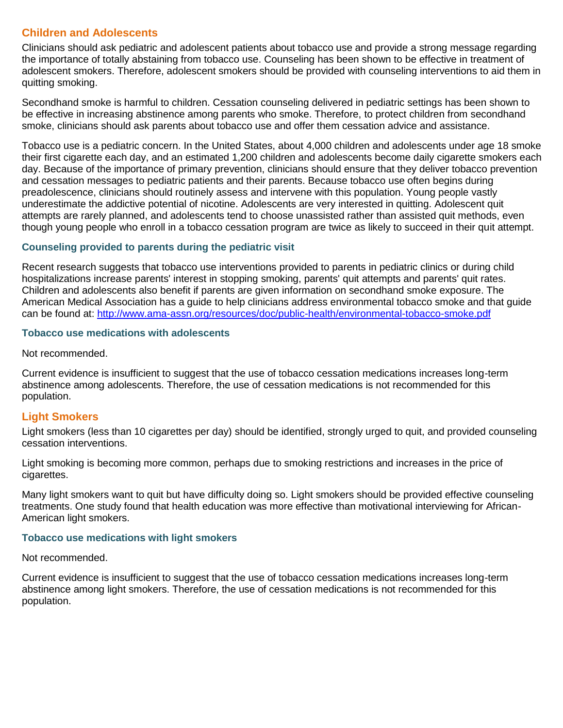# <span id="page-28-0"></span>**Children and Adolescents**

Clinicians should ask pediatric and adolescent patients about tobacco use and provide a strong message regarding the importance of totally abstaining from tobacco use. Counseling has been shown to be effective in treatment of adolescent smokers. Therefore, adolescent smokers should be provided with counseling interventions to aid them in quitting smoking.

Secondhand smoke is harmful to children. Cessation counseling delivered in pediatric settings has been shown to be effective in increasing abstinence among parents who smoke. Therefore, to protect children from secondhand smoke, clinicians should ask parents about tobacco use and offer them cessation advice and assistance.

Tobacco use is a pediatric concern. In the United States, about 4,000 children and adolescents under age 18 smoke their first cigarette each day, and an estimated 1,200 children and adolescents become daily cigarette smokers each day. Because of the importance of primary prevention, clinicians should ensure that they deliver tobacco prevention and cessation messages to pediatric patients and their parents. Because tobacco use often begins during preadolescence, clinicians should routinely assess and intervene with this population. Young people vastly underestimate the addictive potential of nicotine. Adolescents are very interested in quitting. Adolescent quit attempts are rarely planned, and adolescents tend to choose unassisted rather than assisted quit methods, even though young people who enroll in a tobacco cessation program are twice as likely to succeed in their quit attempt.

### **Counseling provided to parents during the pediatric visit**

Recent research suggests that tobacco use interventions provided to parents in pediatric clinics or during child hospitalizations increase parents' interest in stopping smoking, parents' quit attempts and parents' quit rates. Children and adolescents also benefit if parents are given information on secondhand smoke exposure. The American Medical Association has a guide to help clinicians address environmental tobacco smoke and that guide can be found at:<http://www.ama-assn.org/resources/doc/public-health/environmental-tobacco-smoke.pdf>

### **Tobacco use medications with adolescents**

Not recommended.

Current evidence is insufficient to suggest that the use of tobacco cessation medications increases long-term abstinence among adolescents. Therefore, the use of cessation medications is not recommended for this population.

### **Light Smokers**

Light smokers (less than 10 cigarettes per day) should be identified, strongly urged to quit, and provided counseling cessation interventions.

Light smoking is becoming more common, perhaps due to smoking restrictions and increases in the price of cigarettes.

Many light smokers want to quit but have difficulty doing so. Light smokers should be provided effective counseling treatments. One study found that health education was more effective than motivational interviewing for African-American light smokers.

#### **Tobacco use medications with light smokers**

Not recommended.

Current evidence is insufficient to suggest that the use of tobacco cessation medications increases long-term abstinence among light smokers. Therefore, the use of cessation medications is not recommended for this population.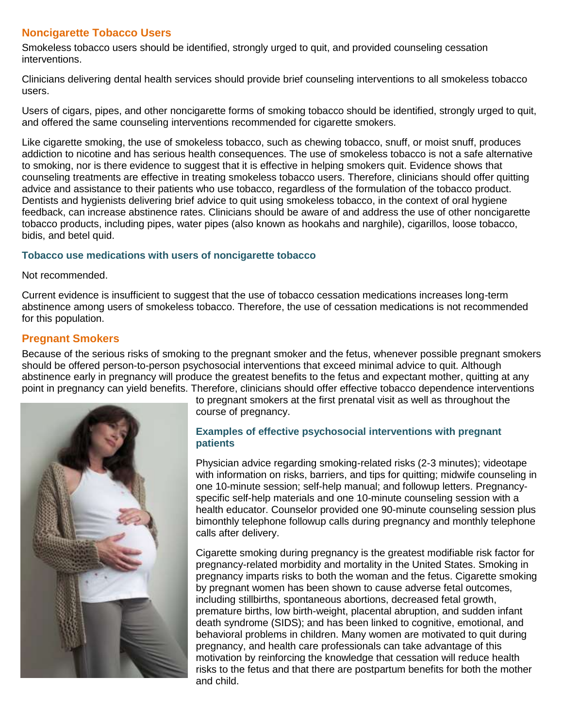# <span id="page-29-0"></span>**Noncigarette Tobacco Users**

Smokeless tobacco users should be identified, strongly urged to quit, and provided counseling cessation interventions.

Clinicians delivering dental health services should provide brief counseling interventions to all smokeless tobacco users.

Users of cigars, pipes, and other noncigarette forms of smoking tobacco should be identified, strongly urged to quit, and offered the same counseling interventions recommended for cigarette smokers.

Like cigarette smoking, the use of smokeless tobacco, such as chewing tobacco, snuff, or moist snuff, produces addiction to nicotine and has serious health consequences. The use of smokeless tobacco is not a safe alternative to smoking, nor is there evidence to suggest that it is effective in helping smokers quit. Evidence shows that counseling treatments are effective in treating smokeless tobacco users. Therefore, clinicians should offer quitting advice and assistance to their patients who use tobacco, regardless of the formulation of the tobacco product. Dentists and hygienists delivering brief advice to quit using smokeless tobacco, in the context of oral hygiene feedback, can increase abstinence rates. Clinicians should be aware of and address the use of other noncigarette tobacco products, including pipes, water pipes (also known as hookahs and narghile), cigarillos, loose tobacco, bidis, and betel quid.

### **Tobacco use medications with users of noncigarette tobacco**

Not recommended.

Current evidence is insufficient to suggest that the use of tobacco cessation medications increases long-term abstinence among users of smokeless tobacco. Therefore, the use of cessation medications is not recommended for this population.

### **Pregnant Smokers**

Because of the serious risks of smoking to the pregnant smoker and the fetus, whenever possible pregnant smokers should be offered person-to-person psychosocial interventions that exceed minimal advice to quit. Although abstinence early in pregnancy will produce the greatest benefits to the fetus and expectant mother, quitting at any point in pregnancy can yield benefits. Therefore, clinicians should offer effective tobacco dependence interventions



to pregnant smokers at the first prenatal visit as well as throughout the course of pregnancy.

### **Examples of effective psychosocial interventions with pregnant patients**

Physician advice regarding smoking-related risks (2-3 minutes); videotape with information on risks, barriers, and tips for quitting; midwife counseling in one 10-minute session; self-help manual; and followup letters. Pregnancyspecific self-help materials and one 10-minute counseling session with a health educator. Counselor provided one 90-minute counseling session plus bimonthly telephone followup calls during pregnancy and monthly telephone calls after delivery.

Cigarette smoking during pregnancy is the greatest modifiable risk factor for pregnancy-related morbidity and mortality in the United States. Smoking in pregnancy imparts risks to both the woman and the fetus. Cigarette smoking by pregnant women has been shown to cause adverse fetal outcomes, including stillbirths, spontaneous abortions, decreased fetal growth, premature births, low birth-weight, placental abruption, and sudden infant death syndrome (SIDS); and has been linked to cognitive, emotional, and behavioral problems in children. Many women are motivated to quit during pregnancy, and health care professionals can take advantage of this motivation by reinforcing the knowledge that cessation will reduce health risks to the fetus and that there are postpartum benefits for both the mother and child.